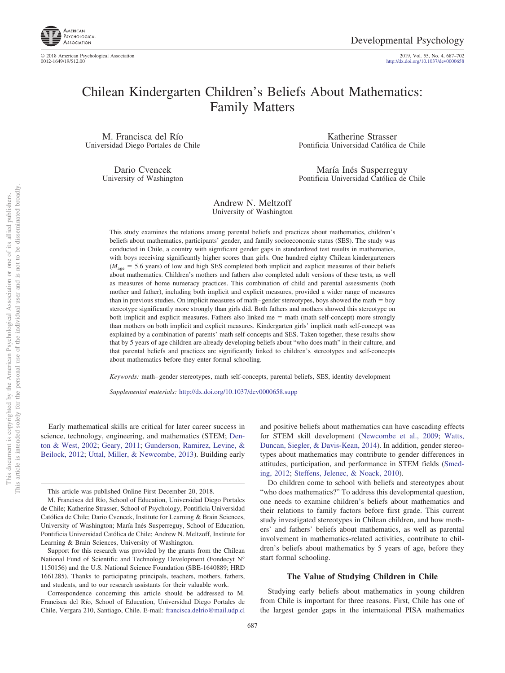

© 2018 American Psychological Association 2019, Vol. 55, No. 4, 687–702

http://dx.doi.org[/10.1037/dev0000658](http://dx.doi.org/10.1037/dev0000658)

# Chilean Kindergarten Children's Beliefs About Mathematics: Family Matters

M. Francisca del Río Universidad Diego Portales de Chile

> Dario Cvencek University of Washington

Katherine Strasser Pontificia Universidad Católica de Chile

María Inés Susperreguy Pontificia Universidad Católica de Chile

# Andrew N. Meltzoff University of Washington

This study examines the relations among parental beliefs and practices about mathematics, children's beliefs about mathematics, participants' gender, and family socioeconomic status (SES). The study was conducted in Chile, a country with significant gender gaps in standardized test results in mathematics, with boys receiving significantly higher scores than girls. One hundred eighty Chilean kindergarteners  $(M<sub>age</sub> = 5.6 years)$  of low and high SES completed both implicit and explicit measures of their beliefs about mathematics. Children's mothers and fathers also completed adult versions of these tests, as well as measures of home numeracy practices. This combination of child and parental assessments (both mother and father), including both implicit and explicit measures, provided a wider range of measures than in previous studies. On implicit measures of math–gender stereotypes, boys showed the math = boy stereotype significantly more strongly than girls did. Both fathers and mothers showed this stereotype on both implicit and explicit measures. Fathers also linked me  $=$  math (math self-concept) more strongly than mothers on both implicit and explicit measures. Kindergarten girls' implicit math self-concept was explained by a combination of parents' math self-concepts and SES. Taken together, these results show that by 5 years of age children are already developing beliefs about "who does math" in their culture, and that parental beliefs and practices are significantly linked to children's stereotypes and self-concepts about mathematics before they enter formal schooling.

*Keywords:* math– gender stereotypes, math self-concepts, parental beliefs, SES, identity development

*Supplemental materials:* http://dx.doi.org/10.1037/dev0000658.supp

Early mathematical skills are critical for later career success in science, technology, engineering, and mathematics (STEM; [Den](#page-13-0)[ton & West, 2002;](#page-13-0) [Geary, 2011;](#page-13-1) [Gunderson, Ramirez, Levine, &](#page-13-2) [Beilock, 2012;](#page-13-2) [Uttal, Miller, & Newcombe, 2013\)](#page-15-0). Building early

and positive beliefs about mathematics can have cascading effects for STEM skill development [\(Newcombe et al., 2009;](#page-14-0) [Watts,](#page-15-1) [Duncan, Siegler, & Davis-Kean, 2014\)](#page-15-1). In addition, gender stereotypes about mathematics may contribute to gender differences in attitudes, participation, and performance in STEM fields [\(Smed](#page-15-2)[ing, 2012;](#page-15-2) [Steffens, Jelenec, & Noack, 2010\)](#page-15-3).

Do children come to school with beliefs and stereotypes about "who does mathematics?" To address this developmental question, one needs to examine children's beliefs about mathematics and their relations to family factors before first grade. This current study investigated stereotypes in Chilean children, and how mothers' and fathers' beliefs about mathematics, as well as parental involvement in mathematics-related activities, contribute to children's beliefs about mathematics by 5 years of age, before they start formal schooling.

# **The Value of Studying Children in Chile**

Studying early beliefs about mathematics in young children from Chile is important for three reasons. First, Chile has one of the largest gender gaps in the international PISA mathematics

This article was published Online First December 20, 2018.

M. Francisca del Río, School of Education, Universidad Diego Portales de Chile; Katherine Strasser, School of Psychology, Pontificia Universidad Católica de Chile; Dario Cvencek, Institute for Learning & Brain Sciences, University of Washington; María Inés Susperreguy, School of Education, Pontificia Universidad Católica de Chile; Andrew N. Meltzoff, Institute for Learning & Brain Sciences, University of Washington.

Support for this research was provided by the grants from the Chilean National Fund of Scientific and Technology Development (Fondecyt N° 1150156) and the U.S. National Science Foundation (SBE-1640889; HRD 1661285). Thanks to participating principals, teachers, mothers, fathers, and students, and to our research assistants for their valuable work.

Correspondence concerning this article should be addressed to M. Francisca del Río, School of Education, Universidad Diego Portales de Chile, Vergara 210, Santiago, Chile. E-mail: [francisca.delrio@mail.udp.cl](mailto:francisca.delrio@mail.udp.cl)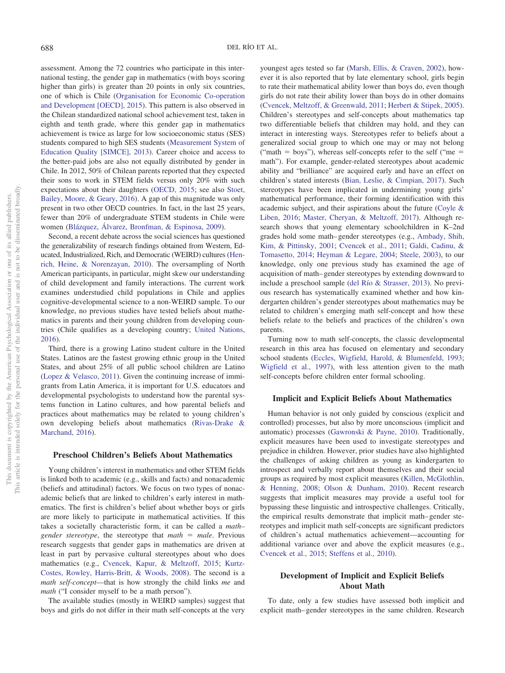assessment. Among the 72 countries who participate in this international testing, the gender gap in mathematics (with boys scoring higher than girls) is greater than 20 points in only six countries, one of which is Chile [\(Organisation for Economic Co-operation](#page-14-1) [and Development \[OECD\], 2015\)](#page-14-1). This pattern is also observed in the Chilean standardized national school achievement test, taken in eighth and tenth grade, where this gender gap in mathematics achievement is twice as large for low socioeconomic status (SES) students compared to high SES students [\(Measurement System of](#page-14-2) [Education Quality \[SIMCE\], 2013\)](#page-14-2). Career choice and access to the better-paid jobs are also not equally distributed by gender in Chile. In 2012, 50% of Chilean parents reported that they expected their sons to work in STEM fields versus only 20% with such expectations about their daughters [\(OECD, 2015;](#page-14-1) see also [Stoet,](#page-15-4) [Bailey, Moore, & Geary, 2016\)](#page-15-4). A gap of this magnitude was only present in two other OECD countries. In fact, in the last 25 years, fewer than 20% of undergraduate STEM students in Chile were women [\(Blázquez, Álvarez, Bronfman, & Espinosa, 2009\)](#page-12-0).

Second, a recent debate across the social sciences has questioned the generalizability of research findings obtained from Western, Educated, Industrialized, Rich, and Democratic (WEIRD) cultures [\(Hen](#page-13-3)[rich, Heine, & Norenzayan, 2010\)](#page-13-3). The oversampling of North American participants, in particular, might skew our understanding of child development and family interactions. The current work examines understudied child populations in Chile and applies cognitive-developmental science to a non-WEIRD sample. To our knowledge, no previous studies have tested beliefs about mathematics in parents and their young children from developing countries (Chile qualifies as a developing country; [United Nations,](#page-15-5) [2016\)](#page-15-5).

Third, there is a growing Latino student culture in the United States. Latinos are the fastest growing ethnic group in the United States, and about 25% of all public school children are Latino [\(Lopez & Velasco, 2011\)](#page-14-3). Given the continuing increase of immigrants from Latin America, it is important for U.S. educators and developmental psychologists to understand how the parental systems function in Latino cultures, and how parental beliefs and practices about mathematics may be related to young children's own developing beliefs about mathematics [\(Rivas-Drake &](#page-15-6) [Marchand, 2016\)](#page-15-6).

### **Preschool Children's Beliefs About Mathematics**

Young children's interest in mathematics and other STEM fields is linked both to academic (e.g., skills and facts) and nonacademic (beliefs and attitudinal) factors. We focus on two types of nonacademic beliefs that are linked to children's early interest in mathematics. The first is children's belief about whether boys or girls are more likely to participate in mathematical activities. If this takes a societally characteristic form, it can be called a *math–* gender stereotype, the stereotype that *math* = male. Previous research suggests that gender gaps in mathematics are driven at least in part by pervasive cultural stereotypes about who does mathematics (e.g., [Cvencek, Kapur, & Meltzoff, 2015;](#page-13-4) [Kurtz-](#page-14-4)[Costes, Rowley, Harris-Britt, & Woods, 2008\)](#page-14-4). The second is a *math self-concept*—that is how strongly the child links *me* and *math* ("I consider myself to be a math person").

The available studies (mostly in WEIRD samples) suggest that boys and girls do not differ in their math self-concepts at the very

youngest ages tested so far [\(Marsh, Ellis, & Craven, 2002\)](#page-14-5), however it is also reported that by late elementary school, girls begin to rate their mathematical ability lower than boys do, even though girls do not rate their ability lower than boys do in other domains [\(Cvencek, Meltzoff, & Greenwald, 2011;](#page-13-5) [Herbert & Stipek, 2005\)](#page-13-6). Children's stereotypes and self-concepts about mathematics tap two differentiable beliefs that children may hold, and they can interact in interesting ways. Stereotypes refer to beliefs about a generalized social group to which one may or may not belong ("math  $=$  boys"), whereas self-concepts refer to the self ("me  $=$ math"). For example, gender-related stereotypes about academic ability and "brilliance" are acquired early and have an effect on children's stated interests [\(Bian, Leslie, & Cimpian, 2017\)](#page-12-1). Such stereotypes have been implicated in undermining young girls' mathematical performance, their forming identification with this academic subject, and their aspirations about the future [\(Coyle &](#page-13-7) [Liben, 2016;](#page-13-7) [Master, Cheryan, & Meltzoff, 2017\)](#page-14-6). Although research shows that young elementary schoolchildren in K–2nd grades hold some math– gender stereotypes (e.g., [Ambady, Shih,](#page-12-2) [Kim, & Pittinsky, 2001;](#page-12-2) [Cvencek et al., 2011;](#page-13-5) [Galdi, Cadinu, &](#page-13-8) [Tomasetto, 2014;](#page-13-8) [Heyman & Legare, 2004;](#page-13-9) [Steele, 2003\)](#page-15-7), to our knowledge, only one previous study has examined the age of acquisition of math– gender stereotypes by extending downward to include a preschool sample [\(del Río & Strasser, 2013\)](#page-13-10). No previous research has systematically examined whether and how kindergarten children's gender stereotypes about mathematics may be related to children's emerging math self-concept and how these beliefs relate to the beliefs and practices of the children's own parents.

Turning now to math self-concepts, the classic developmental research in this area has focused on elementary and secondary school students [\(Eccles, Wigfield, Harold, & Blumenfeld, 1993;](#page-13-11) [Wigfield et al., 1997\)](#page-15-8), with less attention given to the math self-concepts before children enter formal schooling.

#### **Implicit and Explicit Beliefs About Mathematics**

Human behavior is not only guided by conscious (explicit and controlled) processes, but also by more unconscious (implicit and automatic) processes [\(Gawronski & Payne, 2010\)](#page-13-12). Traditionally, explicit measures have been used to investigate stereotypes and prejudice in children. However, prior studies have also highlighted the challenges of asking children as young as kindergarten to introspect and verbally report about themselves and their social groups as required by most explicit measures [\(Killen, McGlothlin,](#page-14-7) [& Henning, 2008;](#page-14-7) [Olson & Dunham, 2010\)](#page-14-8). Recent research suggests that implicit measures may provide a useful tool for bypassing these linguistic and introspective challenges. Critically, the empirical results demonstrate that implicit math– gender stereotypes and implicit math self-concepts are significant predictors of children's actual mathematics achievement—accounting for additional variance over and above the explicit measures (e.g., [Cvencek et al., 2015;](#page-13-4) [Steffens et al., 2010\)](#page-15-3).

# **Development of Implicit and Explicit Beliefs About Math**

To date, only a few studies have assessed both implicit and explicit math– gender stereotypes in the same children. Research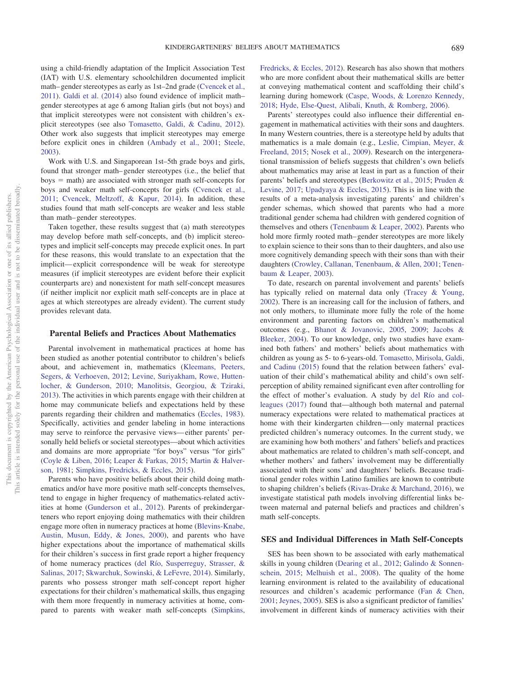using a child-friendly adaptation of the Implicit Association Test (IAT) with U.S. elementary schoolchildren documented implicit math– gender stereotypes as early as 1st–2nd grade [\(Cvencek et al.,](#page-13-5) [2011\)](#page-13-5). [Galdi et al. \(2014\)](#page-13-8) also found evidence of implicit math– gender stereotypes at age 6 among Italian girls (but not boys) and that implicit stereotypes were not consistent with children's explicit stereotypes (see also [Tomasetto, Galdi, & Cadinu, 2012\)](#page-15-9). Other work also suggests that implicit stereotypes may emerge before explicit ones in children [\(Ambady et al., 2001;](#page-12-2) [Steele,](#page-15-7) [2003\)](#page-15-7).

Work with U.S. and Singaporean 1st–5th grade boys and girls, found that stronger math– gender stereotypes (i.e., the belief that boys - math) are associated with stronger math self-concepts for boys and weaker math self-concepts for girls [\(Cvencek et al.,](#page-13-5) [2011;](#page-13-5) [Cvencek, Meltzoff, & Kapur, 2014\)](#page-13-13). In addition, these studies found that math self-concepts are weaker and less stable than math– gender stereotypes.

Taken together, these results suggest that (a) math stereotypes may develop before math self-concepts, and (b) implicit stereotypes and implicit self-concepts may precede explicit ones. In part for these reasons, this would translate to an expectation that the implicit— explicit correspondence will be weak for stereotype measures (if implicit stereotypes are evident before their explicit counterparts are) and nonexistent for math self-concept measures (if neither implicit nor explicit math self-concepts are in place at ages at which stereotypes are already evident). The current study provides relevant data.

#### **Parental Beliefs and Practices About Mathematics**

Parental involvement in mathematical practices at home has been studied as another potential contributor to children's beliefs about, and achievement in, mathematics [\(Kleemans, Peeters,](#page-14-9) [Segers, & Verhoeven, 2012;](#page-14-9) [Levine, Suriyakham, Rowe, Hutten](#page-14-10)[locher, & Gunderson, 2010;](#page-14-10) [Manolitsis, Georgiou, & Tziraki,](#page-14-11) [2013\)](#page-14-11). The activities in which parents engage with their children at home may communicate beliefs and expectations held by these parents regarding their children and mathematics [\(Eccles, 1983\)](#page-13-14). Specifically, activities and gender labeling in home interactions may serve to reinforce the pervasive views— either parents' personally held beliefs or societal stereotypes—about which activities and domains are more appropriate "for boys" versus "for girls" [\(Coyle & Liben, 2016;](#page-13-7) [Leaper & Farkas, 2015;](#page-14-12) [Martin & Halver](#page-14-13)[son, 1981;](#page-14-13) [Simpkins, Fredricks, & Eccles, 2015\)](#page-15-10).

Parents who have positive beliefs about their child doing mathematics and/or have more positive math self-concepts themselves, tend to engage in higher frequency of mathematics-related activities at home [\(Gunderson et al., 2012\)](#page-13-2). Parents of prekindergarteners who report enjoying doing mathematics with their children engage more often in numeracy practices at home [\(Blevins-Knabe,](#page-13-15) [Austin, Musun, Eddy, & Jones, 2000\)](#page-13-15), and parents who have higher expectations about the importance of mathematical skills for their children's success in first grade report a higher frequency of home numeracy practices [\(del Río, Susperreguy, Strasser, &](#page-13-16) [Salinas, 2017;](#page-13-16) [Skwarchuk, Sowinski, & LeFevre, 2014\)](#page-15-11). Similarly, parents who possess stronger math self-concept report higher expectations for their children's mathematical skills, thus engaging with them more frequently in numeracy activities at home, compared to parents with weaker math self-concepts [\(Simpkins,](#page-15-12) [Fredricks, & Eccles, 2012\)](#page-15-12). Research has also shown that mothers who are more confident about their mathematical skills are better at conveying mathematical content and scaffolding their child's learning during homework [\(Caspe, Woods, & Lorenzo Kennedy,](#page-13-17) [2018;](#page-13-17) [Hyde, Else-Quest, Alibali, Knuth, & Romberg, 2006\)](#page-14-14).

Parents' stereotypes could also influence their differential engagement in mathematical activities with their sons and daughters. In many Western countries, there is a stereotype held by adults that mathematics is a male domain (e.g., [Leslie, Cimpian, Meyer, &](#page-14-15) [Freeland, 2015;](#page-14-15) [Nosek et al., 2009\)](#page-14-16). Research on the intergenerational transmission of beliefs suggests that children's own beliefs about mathematics may arise at least in part as a function of their parents' beliefs and stereotypes [\(Berkowitz et al., 2015;](#page-12-3) [Pruden &](#page-15-13) [Levine, 2017;](#page-15-13) [Upadyaya & Eccles, 2015\)](#page-15-14). This is in line with the results of a meta-analysis investigating parents' and children's gender schemas, which showed that parents who had a more traditional gender schema had children with gendered cognition of themselves and others [\(Tenenbaum & Leaper, 2002\)](#page-15-15). Parents who hold more firmly rooted math– gender stereotypes are more likely to explain science to their sons than to their daughters, and also use more cognitively demanding speech with their sons than with their daughters [\(Crowley, Callanan, Tenenbaum, & Allen, 2001;](#page-13-18) [Tenen](#page-15-16)[baum & Leaper, 2003\)](#page-15-16).

To date, research on parental involvement and parents' beliefs has typically relied on maternal data only [\(Tracey & Young,](#page-15-17) [2002\)](#page-15-17). There is an increasing call for the inclusion of fathers, and not only mothers, to illuminate more fully the role of the home environment and parenting factors on children's mathematical outcomes (e.g., [Bhanot & Jovanovic, 2005,](#page-12-4) [2009;](#page-12-5) [Jacobs &](#page-14-17) [Bleeker, 2004\)](#page-14-17). To our knowledge, only two studies have examined both fathers' and mothers' beliefs about mathematics with children as young as 5- to 6-years-old. [Tomasetto, Mirisola, Galdi,](#page-15-18) [and Cadinu \(2015\)](#page-15-18) found that the relation between fathers' evaluation of their child's mathematical ability and child's own selfperception of ability remained significant even after controlling for the effect of mother's evaluation. A study by [del Río and col](#page-13-16)[leagues \(2017\)](#page-13-16) found that—although both maternal and paternal numeracy expectations were related to mathematical practices at home with their kindergarten children— only maternal practices predicted children's numeracy outcomes. In the current study, we are examining how both mothers' and fathers' beliefs and practices about mathematics are related to children's math self-concept, and whether mothers' and fathers' involvement may be differentially associated with their sons' and daughters' beliefs. Because traditional gender roles within Latino families are known to contribute to shaping children's beliefs [\(Rivas-Drake & Marchand, 2016\)](#page-15-6), we investigate statistical path models involving differential links between maternal and paternal beliefs and practices and children's math self-concepts.

#### **SES and Individual Differences in Math Self-Concepts**

SES has been shown to be associated with early mathematical skills in young children [\(Dearing et al., 2012;](#page-13-19) [Galindo & Sonnen](#page-13-20)[schein, 2015;](#page-13-20) [Melhuish et al., 2008\)](#page-14-18). The quality of the home learning environment is related to the availability of educational resources and children's academic performance [\(Fan & Chen,](#page-13-21) [2001;](#page-13-21) [Jeynes, 2005\)](#page-14-19). SES is also a significant predictor of families' involvement in different kinds of numeracy activities with their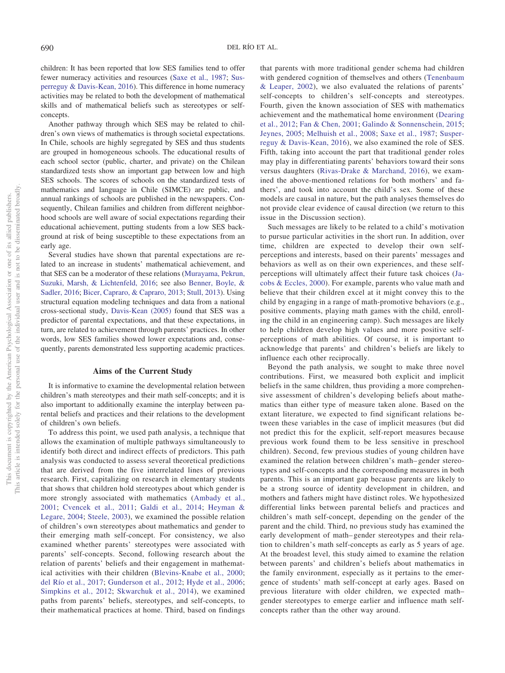children: It has been reported that low SES families tend to offer fewer numeracy activities and resources [\(Saxe et al., 1987;](#page-15-19) [Sus](#page-15-20)[perreguy & Davis-Kean, 2016\)](#page-15-20). This difference in home numeracy activities may be related to both the development of mathematical skills and of mathematical beliefs such as stereotypes or selfconcepts.

Another pathway through which SES may be related to children's own views of mathematics is through societal expectations. In Chile, schools are highly segregated by SES and thus students are grouped in homogeneous schools. The educational results of each school sector (public, charter, and private) on the Chilean standardized tests show an important gap between low and high SES schools. The scores of schools on the standardized tests of mathematics and language in Chile (SIMCE) are public, and annual rankings of schools are published in the newspapers. Consequently, Chilean families and children from different neighborhood schools are well aware of social expectations regarding their educational achievement, putting students from a low SES background at risk of being susceptible to these expectations from an early age.

Several studies have shown that parental expectations are related to an increase in students' mathematical achievement, and that SES can be a moderator of these relations [\(Murayama, Pekrun,](#page-14-20) [Suzuki, Marsh, & Lichtenfeld, 2016;](#page-14-20) see also [Benner, Boyle, &](#page-12-6) [Sadler, 2016;](#page-12-6) [Bicer, Capraro, & Capraro, 2013;](#page-12-7) [Stull, 2013\)](#page-15-21). Using structural equation modeling techniques and data from a national cross-sectional study, [Davis-Kean \(2005\)](#page-13-22) found that SES was a predictor of parental expectations, and that these expectations, in turn, are related to achievement through parents' practices. In other words, low SES families showed lower expectations and, consequently, parents demonstrated less supporting academic practices.

#### **Aims of the Current Study**

It is informative to examine the developmental relation between children's math stereotypes and their math self-concepts; and it is also important to additionally examine the interplay between parental beliefs and practices and their relations to the development of children's own beliefs.

To address this point, we used path analysis, a technique that allows the examination of multiple pathways simultaneously to identify both direct and indirect effects of predictors. This path analysis was conducted to assess several theoretical predictions that are derived from the five interrelated lines of previous research. First, capitalizing on research in elementary students that shows that children hold stereotypes about which gender is more strongly associated with mathematics [\(Ambady et al.,](#page-12-2) [2001;](#page-12-2) [Cvencek et al., 2011;](#page-13-5) [Galdi et al., 2014;](#page-13-8) [Heyman &](#page-13-9) [Legare, 2004;](#page-13-9) [Steele, 2003\)](#page-15-7), we examined the possible relation of children's own stereotypes about mathematics and gender to their emerging math self-concept. For consistency, we also examined whether parents' stereotypes were associated with parents' self-concepts. Second, following research about the relation of parents' beliefs and their engagement in mathematical activities with their children [\(Blevins-Knabe et al., 2000;](#page-13-15) [del Río et al., 2017;](#page-13-16) [Gunderson et al., 2012;](#page-13-2) [Hyde et al., 2006;](#page-14-14) [Simpkins et al., 2012;](#page-15-12) [Skwarchuk et al., 2014\)](#page-15-11), we examined paths from parents' beliefs, stereotypes, and self-concepts, to their mathematical practices at home. Third, based on findings

that parents with more traditional gender schema had children with gendered cognition of themselves and others [\(Tenenbaum](#page-15-15) [& Leaper, 2002\)](#page-15-15), we also evaluated the relations of parents' self-concepts to children's self-concepts and stereotypes. Fourth, given the known association of SES with mathematics achievement and the mathematical home environment [\(Dearing](#page-13-19) [et al., 2012;](#page-13-19) [Fan & Chen, 2001;](#page-13-21) [Galindo & Sonnenschein, 2015;](#page-13-20) [Jeynes, 2005;](#page-14-19) [Melhuish et al., 2008;](#page-14-18) [Saxe et al., 1987;](#page-15-19) [Susper](#page-15-20)[reguy & Davis-Kean, 2016\)](#page-15-20), we also examined the role of SES. Fifth, taking into account the part that traditional gender roles may play in differentiating parents' behaviors toward their sons versus daughters [\(Rivas-Drake & Marchand, 2016\)](#page-15-6), we examined the above-mentioned relations for both mothers' and fathers', and took into account the child's sex. Some of these models are causal in nature, but the path analyses themselves do not provide clear evidence of causal direction (we return to this issue in the Discussion section).

Such messages are likely to be related to a child's motivation to pursue particular activities in the short run. In addition, over time, children are expected to develop their own selfperceptions and interests, based on their parents' messages and behaviors as well as on their own experiences, and these selfperceptions will ultimately affect their future task choices [\(Ja](#page-14-21)[cobs & Eccles, 2000\)](#page-14-21). For example, parents who value math and believe that their children excel at it might convey this to the child by engaging in a range of math-promotive behaviors (e.g., positive comments, playing math games with the child, enrolling the child in an engineering camp). Such messages are likely to help children develop high values and more positive selfperceptions of math abilities. Of course, it is important to acknowledge that parents' and children's beliefs are likely to influence each other reciprocally.

Beyond the path analysis, we sought to make three novel contributions. First, we measured both explicit and implicit beliefs in the same children, thus providing a more comprehensive assessment of children's developing beliefs about mathematics than either type of measure taken alone. Based on the extant literature, we expected to find significant relations between these variables in the case of implicit measures (but did not predict this for the explicit, self-report measures because previous work found them to be less sensitive in preschool children). Second, few previous studies of young children have examined the relation between children's math– gender stereotypes and self-concepts and the corresponding measures in both parents. This is an important gap because parents are likely to be a strong source of identity development in children, and mothers and fathers might have distinct roles. We hypothesized differential links between parental beliefs and practices and children's math self-concept, depending on the gender of the parent and the child. Third, no previous study has examined the early development of math– gender stereotypes and their relation to children's math self-concepts as early as 5 years of age. At the broadest level, this study aimed to examine the relation between parents' and children's beliefs about mathematics in the family environment, especially as it pertains to the emergence of students' math self-concept at early ages. Based on previous literature with older children, we expected math– gender stereotypes to emerge earlier and influence math selfconcepts rather than the other way around.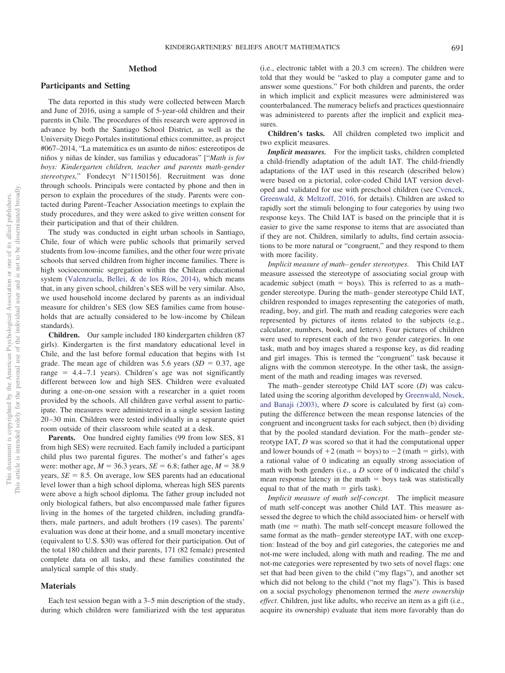# **Method**

# **Participants and Setting**

The data reported in this study were collected between March and June of 2016, using a sample of 5-year-old children and their parents in Chile. The procedures of this research were approved in advance by both the Santiago School District, as well as the University Diego Portales institutional ethics committee, as project #067–2014, "La matemática es un asunto de niños: estereotipos de niños y niñas de kínder, sus familias y educadoras" ["*Math is for boys: Kindergarten children, teacher and parents math-gender stereotypes,*" Fondecyt N°1150156]. Recruitment was done through schools. Principals were contacted by phone and then in person to explain the procedures of the study. Parents were contacted during Parent–Teacher Association meetings to explain the study procedures, and they were asked to give written consent for their participation and that of their children.

The study was conducted in eight urban schools in Santiago, Chile, four of which were public schools that primarily served students from low-income families, and the other four were private schools that served children from higher income families. There is high socioeconomic segregation within the Chilean educational system [\(Valenzuela, Bellei, & de los Ríos, 2014\)](#page-15-22), which means that, in any given school, children's SES will be very similar. Also, we used household income declared by parents as an individual measure for children's SES (low SES families came from households that are actually considered to be low-income by Chilean standards).

**Children.** Our sample included 180 kindergarten children (87 girls). Kindergarten is the first mandatory educational level in Chile, and the last before formal education that begins with 1st grade. The mean age of children was  $5.6$  years  $(SD = 0.37,$  age  $range = 4.4 - 7.1$  years). Children's age was not significantly different between low and high SES. Children were evaluated during a one-on-one session with a researcher in a quiet room provided by the schools. All children gave verbal assent to participate. The measures were administered in a single session lasting 20 –30 min. Children were tested individually in a separate quiet room outside of their classroom while seated at a desk.

Parents. One hundred eighty families (99 from low SES, 81) from high SES) were recruited. Each family included a participant child plus two parental figures. The mother's and father's ages were: mother age,  $M = 36.3$  years,  $SE = 6.8$ ; father age,  $M = 38.9$ years,  $SE = 8.5$ . On average, low SES parents had an educational level lower than a high school diploma, whereas high SES parents were above a high school diploma. The father group included not only biological fathers, but also encompassed male father figures living in the homes of the targeted children, including grandfathers, male partners, and adult brothers (19 cases). The parents' evaluation was done at their home, and a small monetary incentive (equivalent to U.S. \$30) was offered for their participation. Out of the total 180 children and their parents, 171 (82 female) presented complete data on all tasks, and these families constituted the analytical sample of this study.

#### **Materials**

Each test session began with a 3–5 min description of the study, during which children were familiarized with the test apparatus (i.e., electronic tablet with a 20.3 cm screen). The children were told that they would be "asked to play a computer game and to answer some questions." For both children and parents, the order in which implicit and explicit measures were administered was counterbalanced. The numeracy beliefs and practices questionnaire was administered to parents after the implicit and explicit measures.

**Children's tasks.** All children completed two implicit and two explicit measures.

*Implicit measures.* For the implicit tasks, children completed a child-friendly adaptation of the adult IAT. The child-friendly adaptations of the IAT used in this research (described below) were based on a pictorial, color-coded Child IAT version developed and validated for use with preschool children (see [Cvencek,](#page-13-23) [Greenwald, & Meltzoff, 2016,](#page-13-23) for details). Children are asked to rapidly sort the stimuli belonging to four categories by using two response keys. The Child IAT is based on the principle that it is easier to give the same response to items that are associated than if they are not. Children, similarly to adults, find certain associations to be more natural or "congruent," and they respond to them with more facility.

*Implicit measure of math– gender stereotypes.* This Child IAT measure assessed the stereotype of associating social group with academic subject (math  $=$  boys). This is referred to as a mathgender stereotype. During the math– gender stereotype Child IAT, children responded to images representing the categories of math, reading, boy, and girl. The math and reading categories were each represented by pictures of items related to the subjects (e.g., calculator, numbers, book, and letters). Four pictures of children were used to represent each of the two gender categories. In one task, math and boy images shared a response key, as did reading and girl images. This is termed the "congruent" task because it aligns with the common stereotype. In the other task, the assignment of the math and reading images was reversed.

The math– gender stereotype Child IAT score (*D*) was calculated using the scoring algorithm developed by [Greenwald, Nosek,](#page-13-24) [and Banaji \(2003\),](#page-13-24) where *D* score is calculated by first (a) computing the difference between the mean response latencies of the congruent and incongruent tasks for each subject, then (b) dividing that by the pooled standard deviation. For the math– gender stereotype IAT, *D* was scored so that it had the computational upper and lower bounds of  $+2$  (math  $=$  boys) to  $-2$  (math  $=$  girls), with a rational value of 0 indicating an equally strong association of math with both genders (i.e., a *D* score of 0 indicated the child's mean response latency in the math  $=$  boys task was statistically equal to that of the math  $=$  girls task).

*Implicit measure of math self-concept.* The implicit measure of math self-concept was another Child IAT. This measure assessed the degree to which the child associated him- or herself with  $math$  (me  $=$  math). The math self-concept measure followed the same format as the math– gender stereotype IAT, with one exception: Instead of the boy and girl categories, the categories me and not-me were included, along with math and reading. The me and not-me categories were represented by two sets of novel flags: one set that had been given to the child ("my flags"), and another set which did not belong to the child ("not my flags"). This is based on a social psychology phenomenon termed the *mere ownership effect*. Children, just like adults, who receive an item as a gift (i.e., acquire its ownership) evaluate that item more favorably than do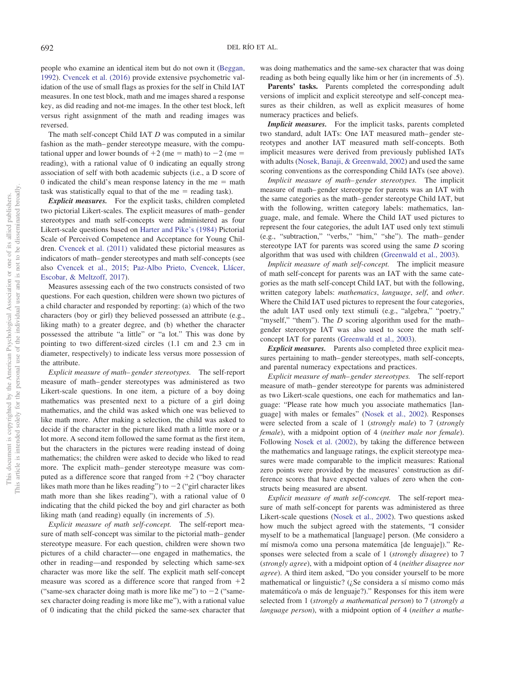people who examine an identical item but do not own it [\(Beggan,](#page-12-8) [1992\)](#page-12-8). [Cvencek et al. \(2016\)](#page-13-23) provide extensive psychometric validation of the use of small flags as proxies for the self in Child IAT measures. In one test block, math and me images shared a response key, as did reading and not-me images. In the other test block, left versus right assignment of the math and reading images was reversed.

The math self-concept Child IAT *D* was computed in a similar fashion as the math– gender stereotype measure, with the computational upper and lower bounds of  $+2$  (me = math) to  $-2$  (me = reading), with a rational value of 0 indicating an equally strong association of self with both academic subjects (i.e., a D score of 0 indicated the child's mean response latency in the me  $=$  math task was statistically equal to that of the  $me =$  reading task).

*Explicit measures.* For the explicit tasks, children completed two pictorial Likert-scales. The explicit measures of math– gender stereotypes and math self-concepts were administered as four Likert-scale questions based on [Harter and Pike's \(1984\)](#page-13-25) Pictorial Scale of Perceived Competence and Acceptance for Young Children. [Cvencek et al. \(2011\)](#page-13-5) validated these pictorial measures as indicators of math– gender stereotypes and math self-concepts (see also [Cvencek et al., 2015;](#page-13-4) [Paz-Albo Prieto, Cvencek, Llácer,](#page-15-23) [Escobar, & Meltzoff, 2017\)](#page-15-23).

Measures assessing each of the two constructs consisted of two questions. For each question, children were shown two pictures of a child character and responded by reporting: (a) which of the two characters (boy or girl) they believed possessed an attribute (e.g., liking math) to a greater degree, and (b) whether the character possessed the attribute "a little" or "a lot." This was done by pointing to two different-sized circles (1.1 cm and 2.3 cm in diameter, respectively) to indicate less versus more possession of the attribute.

*Explicit measure of math– gender stereotypes.* The self-report measure of math– gender stereotypes was administered as two Likert-scale questions. In one item, a picture of a boy doing mathematics was presented next to a picture of a girl doing mathematics, and the child was asked which one was believed to like math more. After making a selection, the child was asked to decide if the character in the picture liked math a little more or a lot more. A second item followed the same format as the first item, but the characters in the pictures were reading instead of doing mathematics; the children were asked to decide who liked to read more. The explicit math– gender stereotype measure was computed as a difference score that ranged from  $+2$  ("boy character") likes math more than he likes reading") to  $-2$  ("girl character likes math more than she likes reading"), with a rational value of 0 indicating that the child picked the boy and girl character as both liking math (and reading) equally (in increments of .5).

*Explicit measure of math self-concept.* The self-report measure of math self-concept was similar to the pictorial math– gender stereotype measure. For each question, children were shown two pictures of a child character— one engaged in mathematics, the other in reading—and responded by selecting which same-sex character was more like the self. The explicit math self-concept measure was scored as a difference score that ranged from  $+2$ ("same-sex character doing math is more like me") to  $-2$  ("samesex character doing reading is more like me"), with a rational value of 0 indicating that the child picked the same-sex character that

was doing mathematics and the same-sex character that was doing reading as both being equally like him or her (in increments of .5).

Parents' tasks. Parents completed the corresponding adult versions of implicit and explicit stereotype and self-concept measures as their children, as well as explicit measures of home numeracy practices and beliefs.

*Implicit measures.* For the implicit tasks, parents completed two standard, adult IATs: One IAT measured math– gender stereotypes and another IAT measured math self-concepts. Both implicit measures were derived from previously published IATs with adults [\(Nosek, Banaji, & Greenwald, 2002\)](#page-14-22) and used the same scoring conventions as the corresponding Child IATs (see above).

*Implicit measure of math– gender stereotypes.* The implicit measure of math– gender stereotype for parents was an IAT with the same categories as the math– gender stereotype Child IAT, but with the following, written category labels: mathematics, language, male, and female. Where the Child IAT used pictures to represent the four categories, the adult IAT used only text stimuli (e.g., "subtraction," "verbs," "him," "she"). The math– gender stereotype IAT for parents was scored using the same *D* scoring algorithm that was used with children [\(Greenwald et al., 2003\)](#page-13-24).

*Implicit measure of math self-concept.* The implicit measure of math self-concept for parents was an IAT with the same categories as the math self-concept Child IAT, but with the following, written category labels: *mathematics*, *language*, *self*, and *other*. Where the Child IAT used pictures to represent the four categories, the adult IAT used only text stimuli (e.g., "algebra," "poetry," "myself," "them"). The *D* scoring algorithm used for the math– gender stereotype IAT was also used to score the math selfconcept IAT for parents [\(Greenwald et al., 2003\)](#page-13-24).

*Explicit measures.* Parents also completed three explicit measures pertaining to math– gender stereotypes, math self-concepts, and parental numeracy expectations and practices.

*Explicit measure of math– gender stereotypes.* The self-report measure of math– gender stereotype for parents was administered as two Likert-scale questions, one each for mathematics and language: "Please rate how much you associate mathematics [language] with males or females" [\(Nosek et al., 2002\)](#page-14-22). Responses were selected from a scale of 1 (*strongly male*) to 7 (*strongly female*), with a midpoint option of 4 (*neither male nor female*). Following [Nosek et al. \(2002\),](#page-14-22) by taking the difference between the mathematics and language ratings, the explicit stereotype measures were made comparable to the implicit measures: Rational zero points were provided by the measures' construction as difference scores that have expected values of zero when the constructs being measured are absent.

*Explicit measure of math self-concept.* The self-report measure of math self-concept for parents was administered as three Likert-scale questions [\(Nosek et al., 2002\)](#page-14-22). Two questions asked how much the subject agreed with the statements, "I consider myself to be a mathematical [language] person. (Me considero a mí mismo/a como una persona matemática [de lenguaje])." Responses were selected from a scale of 1 (*strongly disagree*) to 7 (*strongly agree*), with a midpoint option of 4 (*neither disagree nor agree*). A third item asked, "Do you consider yourself to be more mathematical or linguistic? (¿Se considera a sí mismo como más matemático/a o más de lenguaje?)." Responses for this item were selected from 1 (*strongly a mathematical person*) to 7 (*strongly a language person*), with a midpoint option of 4 (*neither a mathe-*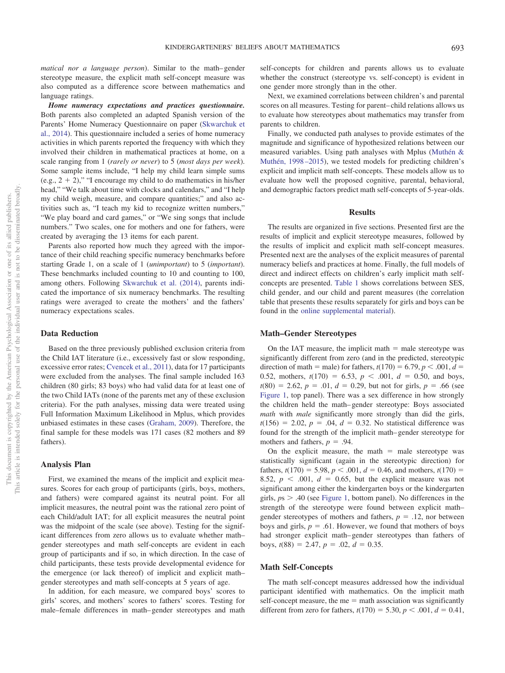*matical nor a language person*). Similar to the math– gender stereotype measure, the explicit math self-concept measure was also computed as a difference score between mathematics and language ratings.

*Home numeracy expectations and practices questionnaire.* Both parents also completed an adapted Spanish version of the Parents' Home Numeracy Questionnaire on paper [\(Skwarchuk et](#page-15-11) [al., 2014\)](#page-15-11). This questionnaire included a series of home numeracy activities in which parents reported the frequency with which they involved their children in mathematical practices at home, on a scale ranging from 1 (*rarely or never*) to 5 (*most days per week*). Some sample items include, "I help my child learn simple sums (e.g.,  $2 + 2$ )," "I encourage my child to do mathematics in his/her head," "We talk about time with clocks and calendars," and "I help my child weigh, measure, and compare quantities;" and also activities such as, "I teach my kid to recognize written numbers," "We play board and card games," or "We sing songs that include numbers." Two scales, one for mothers and one for fathers, were created by averaging the 13 items for each parent.

Parents also reported how much they agreed with the importance of their child reaching specific numeracy benchmarks before starting Grade 1, on a scale of 1 (*unimportant*) to 5 (*important*). These benchmarks included counting to 10 and counting to 100, among others. Following [Skwarchuk et al. \(2014\),](#page-15-11) parents indicated the importance of six numeracy benchmarks. The resulting ratings were averaged to create the mothers' and the fathers' numeracy expectations scales.

#### **Data Reduction**

Based on the three previously published exclusion criteria from the Child IAT literature (i.e., excessively fast or slow responding, excessive error rates; [Cvencek et al., 2011\)](#page-13-5), data for 17 participants were excluded from the analyses. The final sample included 163 children (80 girls; 83 boys) who had valid data for at least one of the two Child IATs (none of the parents met any of these exclusion criteria). For the path analyses, missing data were treated using Full Information Maximum Likelihood in Mplus, which provides unbiased estimates in these cases [\(Graham, 2009\)](#page-13-26). Therefore, the final sample for these models was 171 cases (82 mothers and 89 fathers).

#### **Analysis Plan**

First, we examined the means of the implicit and explicit measures. Scores for each group of participants (girls, boys, mothers, and fathers) were compared against its neutral point. For all implicit measures, the neutral point was the rational zero point of each Child/adult IAT; for all explicit measures the neutral point was the midpoint of the scale (see above). Testing for the significant differences from zero allows us to evaluate whether math– gender stereotypes and math self-concepts are evident in each group of participants and if so, in which direction. In the case of child participants, these tests provide developmental evidence for the emergence (or lack thereof) of implicit and explicit math– gender stereotypes and math self-concepts at 5 years of age.

In addition, for each measure, we compared boys' scores to girls' scores, and mothers' scores to fathers' scores. Testing for male–female differences in math– gender stereotypes and math

self-concepts for children and parents allows us to evaluate whether the construct (stereotype vs. self-concept) is evident in one gender more strongly than in the other.

Next, we examined correlations between children's and parental scores on all measures. Testing for parent– child relations allows us to evaluate how stereotypes about mathematics may transfer from parents to children.

Finally, we conducted path analyses to provide estimates of the magnitude and significance of hypothesized relations between our measured variables. Using path analyses with Mplus [\(Muthén &](#page-14-23) [Muthén, 1998 –2015\)](#page-14-23), we tested models for predicting children's explicit and implicit math self-concepts. These models allow us to evaluate how well the proposed cognitive, parental, behavioral, and demographic factors predict math self-concepts of 5-year-olds.

### **Results**

The results are organized in five sections. Presented first are the results of implicit and explicit stereotype measures, followed by the results of implicit and explicit math self-concept measures. Presented next are the analyses of the explicit measures of parental numeracy beliefs and practices at home. Finally, the full models of direct and indirect effects on children's early implicit math selfconcepts are presented. [Table 1](#page-7-0) shows correlations between SES, child gender, and our child and parent measures (the correlation table that presents these results separately for girls and boys can be found in the [online supplemental material\)](http://dx.doi.org/10.1037/dev0000658.supp).

#### **Math–Gender Stereotypes**

On the IAT measure, the implicit math  $=$  male stereotype was significantly different from zero (and in the predicted, stereotypic direction of math = male) for fathers,  $t(170) = 6.79$ ,  $p < .001$ ,  $d =$ 0.52, mothers,  $t(170) = 6.53$ ,  $p < .001$ ,  $d = 0.50$ , and boys,  $t(80) = 2.62$ ,  $p = .01$ ,  $d = 0.29$ , but not for girls,  $p = .66$  (see [Figure 1,](#page-8-0) top panel). There was a sex difference in how strongly the children held the math– gender stereotype: Boys associated *math* with *male* significantly more strongly than did the girls,  $t(156) = 2.02, p = .04, d = 0.32$ . No statistical difference was found for the strength of the implicit math– gender stereotype for mothers and fathers,  $p = .94$ .

On the explicit measure, the math  $=$  male stereotype was statistically significant (again in the stereotypic direction) for fathers,  $t(170) = 5.98$ ,  $p < .001$ ,  $d = 0.46$ , and mothers,  $t(170) =$ 8.52,  $p \leq 0.001$ ,  $d = 0.65$ , but the explicit measure was not significant among either the kindergarten boys or the kindergarten girls,  $p_s$   $>$  .40 (see [Figure 1,](#page-8-0) bottom panel). No differences in the strength of the stereotype were found between explicit math– gender stereotypes of mothers and fathers,  $p = .12$ , nor between boys and girls,  $p = .61$ . However, we found that mothers of boys had stronger explicit math– gender stereotypes than fathers of boys,  $t(88) = 2.47$ ,  $p = .02$ ,  $d = 0.35$ .

#### **Math Self-Concepts**

The math self-concept measures addressed how the individual participant identified with mathematics. On the implicit math self-concept measure, the me  $=$  math association was significantly different from zero for fathers,  $t(170) = 5.30, p < .001, d = 0.41$ ,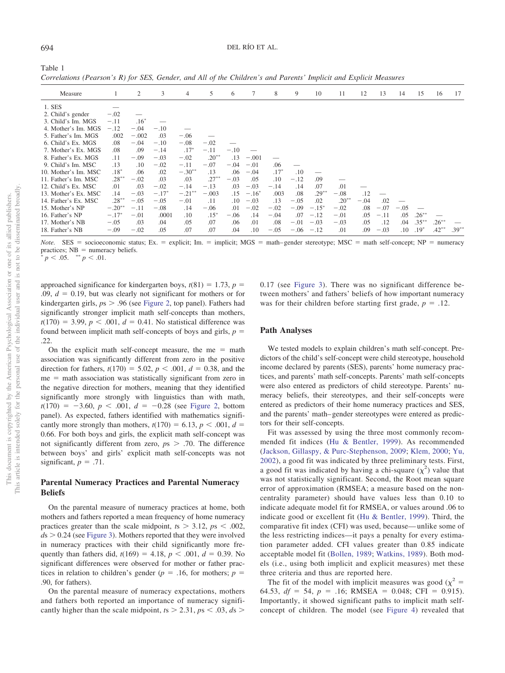<span id="page-7-0"></span>Table 1 *Correlations (Pearson's R) for SES, Gender, and All of the Children's and Parents' Implicit and Explicit Measures*

| Measure              |          | $\overline{c}$ | 3       | 4         | 5        | 6      | 7              | 8      | 9      | 10           | 11       | 12     | 13     | 14     | 15       | 16       | 17       |
|----------------------|----------|----------------|---------|-----------|----------|--------|----------------|--------|--------|--------------|----------|--------|--------|--------|----------|----------|----------|
| 1. SES               |          |                |         |           |          |        |                |        |        |              |          |        |        |        |          |          |          |
| 2. Child's gender    | $-.02$   |                |         |           |          |        |                |        |        |              |          |        |        |        |          |          |          |
| 3. Child's Im. MGS   | $-.11$   | $.16*$         |         |           |          |        |                |        |        |              |          |        |        |        |          |          |          |
| 4. Mother's Im. MGS  | $-.12$   | $-.04$         | $-.10$  |           |          |        |                |        |        |              |          |        |        |        |          |          |          |
| 5. Father's Im. MGS  | .002     | $-.002$        | .03     | $-.06$    |          |        |                |        |        |              |          |        |        |        |          |          |          |
| 6. Child's Ex. MGS   | .08      | $-.04$         | $-.10$  | $-.08$    | $-.02$   |        |                |        |        |              |          |        |        |        |          |          |          |
| 7. Mother's Ex. MGS  | .08      | .09            | $-.14$  | $.17*$    | $-.11$   | $-.10$ |                |        |        |              |          |        |        |        |          |          |          |
| 8. Father's Ex. MGS  | .11      | $-.09$         | $-.03$  | $-.02$    | $.20***$ | .13    | $-.001$        |        |        |              |          |        |        |        |          |          |          |
| 9. Child's Im. MSC   | .13      | .10            | $-.02$  | $-.11$    | $-.07$   | $-.04$ | $-.01$         | .06    |        |              |          |        |        |        |          |          |          |
| 10. Mother's Im. MSC | $.18*$   | .06            | .02     | $-.30***$ | .13      | .06    | $-.04$         | $.17*$ | .10    |              |          |        |        |        |          |          |          |
| 11. Father's Im. MSC | $.28***$ | $-.02$         | .03     | .03       | $.27***$ | $-.03$ | .05            | .10    | $-.12$ | .09          |          |        |        |        |          |          |          |
| 12. Child's Ex. MSC  | .01      | .03            | $-.02$  | $-.14$    | $-.13$   | .03    | $-.03$         | $-.14$ | .14    | .07          | .01      |        |        |        |          |          |          |
| 13. Mother's Ex. MSC | .14      | $-.03$         | $-.17*$ | $-.21$    | $-.003$  | .15    | $-.16^{\circ}$ | .003   | .08    | $.29***$     | $-.08$   | .12    |        |        |          |          |          |
| 14. Father's Ex. MSC | $.28***$ | $-.05$         | $-.05$  | $-.01$    | .11      | .10    | $-.03$         | .13    | $-.05$ | .02          | $.20***$ | $-.04$ | .02    |        |          |          |          |
| 15. Mother's NP      | $-.20**$ | $-.11$         | $-.08$  | .14       | $-.06$   | .01    | $-.02$         | $-.02$ | $-.09$ | $-.15*$      | $-.02$   | .08    | $-.07$ | $-.05$ |          |          |          |
| 16. Father's NP      | $-.17*$  | $-.01$         | .0001   | .10       | $.15*$   | $-.06$ | .14            | $-.04$ | .07    | $-.12$       | $-.01$   | .05    | $-.11$ | .05    | $.26***$ |          |          |
| 17. Mother's NB      | $-.05$   | .03            | .04     | .05       | .07      | .06    | .01            | .08    | $-.01$ | $-.03$       | $-.03$   | .05    | .12    | .04    | $.35***$ | $.26***$ |          |
| 18. Father's NB      | $-.09$   | $-.02$         | .05     | .07       | .07      | .04    | .10            | $-.05$ |        | $-.06 - .12$ | .01      | .09    | $-.03$ | .10    | $.19*$   | $.42***$ | $.39***$ |

*Note.* SES = socioeconomic status; Ex. = explicit; Im. = implicit; MGS = math–gender stereotype; MSC = math self-concept; NP = numeracy practices;  $NB =$  numeracy beliefs.<br>\*  $n \leq 0.5$  \*\*  $n \leq 0.1$ 

 $\frac{1}{p}$  *p* < .05.  $\frac{1}{p}$  = .01.

approached significance for kindergarten boys,  $t(81) = 1.73$ ,  $p =$  $.09, d = 0.19$ , but was clearly not significant for mothers or for kindergarten girls,  $ps > .96$  (see [Figure 2,](#page-8-1) top panel). Fathers had significantly stronger implicit math self-concepts than mothers,  $t(170) = 3.99, p < .001, d = 0.41$ . No statistical difference was found between implicit math self-concepts of boys and girls,  $p =$ .22.

On the explicit math self-concept measure, the me  $=$  math association was significantly different from zero in the positive direction for fathers,  $t(170) = 5.02$ ,  $p < .001$ ,  $d = 0.38$ , and the me = math association was statistically significant from zero in the negative direction for mothers, meaning that they identified significantly more strongly with linguistics than with math,  $t(170) = -3.60, p < .001, d = -0.28$  (see [Figure 2,](#page-8-1) bottom panel). As expected, fathers identified with mathematics significantly more strongly than mothers,  $t(170) = 6.13$ ,  $p < .001$ ,  $d =$ 0.66. For both boys and girls, the explicit math self-concept was not significantly different from zero, *p*s .70. The difference between boys' and girls' explicit math self-concepts was not significant,  $p = .71$ .

# **Parental Numeracy Practices and Parental Numeracy Beliefs**

On the parental measure of numeracy practices at home, both mothers and fathers reported a mean frequency of home numeracy practices greater than the scale midpoint,  $ts > 3.12$ ,  $ps < .002$ ,  $ds > 0.24$  (see [Figure 3\)](#page-9-0). Mothers reported that they were involved in numeracy practices with their child significantly more frequently than fathers did,  $t(169) = 4.18$ ,  $p < .001$ ,  $d = 0.39$ . No significant differences were observed for mother or father practices in relation to children's gender ( $p = .16$ , for mothers;  $p =$ .90, for fathers).

On the parental measure of numeracy expectations, mothers and fathers both reported an importance of numeracy significantly higher than the scale midpoint,  $ts > 2.31$ ,  $ps < .03$ ,  $ds >$ 

0.17 (see [Figure 3\)](#page-9-0). There was no significant difference between mothers' and fathers' beliefs of how important numeracy was for their children before starting first grade,  $p = .12$ .

#### **Path Analyses**

We tested models to explain children's math self-concept. Predictors of the child's self-concept were child stereotype, household income declared by parents (SES), parents' home numeracy practices, and parents' math self-concepts. Parents' math self-concepts were also entered as predictors of child stereotype. Parents' numeracy beliefs, their stereotypes, and their self-concepts were entered as predictors of their home numeracy practices and SES, and the parents' math– gender stereotypes were entered as predictors for their self-concepts.

Fit was assessed by using the three most commonly recommended fit indices [\(Hu & Bentler, 1999\)](#page-14-24). As recommended [\(Jackson, Gillaspy, & Purc-Stephenson, 2009;](#page-14-25) [Klem, 2000;](#page-14-26) [Yu,](#page-15-24) [2002\)](#page-15-24), a good fit was indicated by three preliminary tests. First, a good fit was indicated by having a chi-square  $(\chi^2)$  value that was not statistically significant. Second, the Root mean square error of approximation (RMSEA; a measure based on the noncentrality parameter) should have values less than 0.10 to indicate adequate model fit for RMSEA, or values around .06 to indicate good or excellent fit [\(Hu & Bentler, 1999\)](#page-14-24). Third, the comparative fit index (CFI) was used, because— unlike some of the less restricting indices—it pays a penalty for every estimation parameter added. CFI values greater than 0.85 indicate acceptable model fit [\(Bollen, 1989;](#page-13-27) [Watkins, 1989\)](#page-15-25). Both models (i.e., using both implicit and explicit measures) met these three criteria and thus are reported here.

The fit of the model with implicit measures was good ( $\chi^2$  = 64.53,  $df = 54$ ,  $p = .16$ ; RMSEA = 0.048; CFI = 0.915). Importantly, it showed significant paths to implicit math selfconcept of children. The model (see [Figure 4\)](#page-9-1) revealed that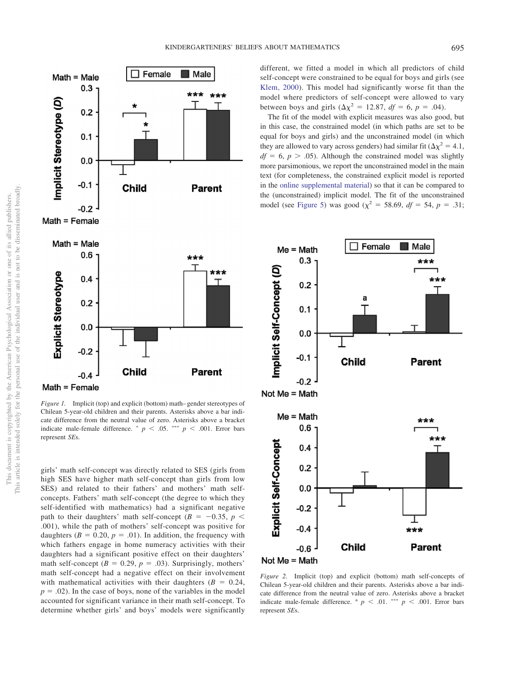

<span id="page-8-0"></span>*Figure 1.* Implicit (top) and explicit (bottom) math–gender stereotypes of Chilean 5-year-old children and their parents. Asterisks above a bar indicate difference from the neutral value of zero. Asterisks above a bracket indicate male-female difference.  $p < .05$ . \*\*\*  $p < .001$ . Error bars represent *SE*s.

girls' math self-concept was directly related to SES (girls from high SES have higher math self-concept than girls from low SES) and related to their fathers' and mothers' math selfconcepts. Fathers' math self-concept (the degree to which they self-identified with mathematics) had a significant negative path to their daughters' math self-concept ( $B = -0.35$ ,  $p <$ .001), while the path of mothers' self-concept was positive for daughters  $(B = 0.20, p = .01)$ . In addition, the frequency with which fathers engage in home numeracy activities with their daughters had a significant positive effect on their daughters' math self-concept ( $B = 0.29$ ,  $p = .03$ ). Surprisingly, mothers' math self-concept had a negative effect on their involvement with mathematical activities with their daughters  $(B = 0.24,$  $p = .02$ ). In the case of boys, none of the variables in the model accounted for significant variance in their math self-concept. To determine whether girls' and boys' models were significantly different, we fitted a model in which all predictors of child self-concept were constrained to be equal for boys and girls (see [Klem, 2000\)](#page-14-26). This model had significantly worse fit than the model where predictors of self-concept were allowed to vary between boys and girls  $(\Delta \chi^2 = 12.87, df = 6, p = .04)$ .

The fit of the model with explicit measures was also good, but in this case, the constrained model (in which paths are set to be equal for boys and girls) and the unconstrained model (in which they are allowed to vary across genders) had similar fit  $(\Delta \chi^2 = 4.1,$  $df = 6$ ,  $p > .05$ ). Although the constrained model was slightly more parsimonious, we report the unconstrained model in the main text (for completeness, the constrained explicit model is reported in the [online supplemental material\)](http://dx.doi.org/10.1037/dev0000658.supp) so that it can be compared to the (unconstrained) implicit model. The fit of the unconstrained model (see [Figure 5\)](#page-10-0) was good ( $\chi^2 = 58.69$ , *df* = 54, *p* = .31;



<span id="page-8-1"></span>*Figure 2.* Implicit (top) and explicit (bottom) math self-concepts of Chilean 5-year-old children and their parents. Asterisks above a bar indicate difference from the neutral value of zero. Asterisks above a bracket indicate male-female difference. <sup>a</sup>  $p \le 0.01$ . \*\*\*  $p \le 0.001$ . Error bars represent *SE*s.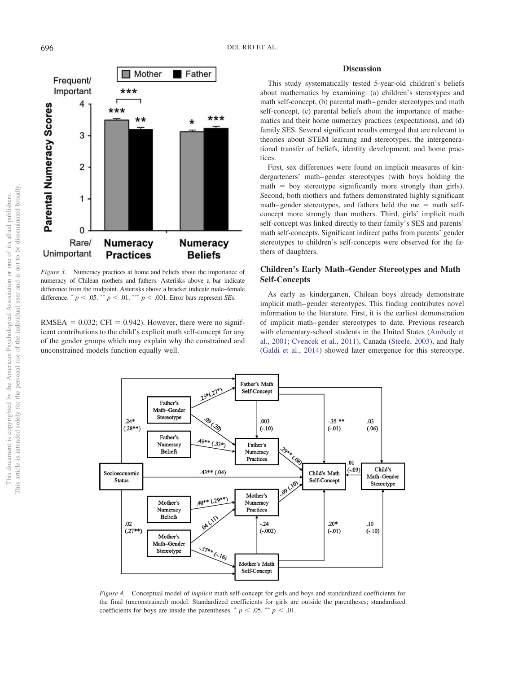

<span id="page-9-0"></span>*Figure 3.* Numeracy practices at home and beliefs about the importance of numeracy of Chilean mothers and fathers. Asterisks above a bar indicate difference from the midpoint. Asterisks above a bracket indicate male–female difference.  $p < .05$ .  $\sqrt[n]{p} < .01$ .  $\sqrt[n]{p} < .001$ . Error bars represent *SEs*.

 $RMSEA = 0.032$ ; CFI = 0.942). However, there were no significant contributions to the child's explicit math self-concept for any of the gender groups which may explain why the constrained and unconstrained models function equally well.

# **Discussion**

This study systematically tested 5-year-old children's beliefs about mathematics by examining: (a) children's stereotypes and math self-concept, (b) parental math– gender stereotypes and math self-concept, (c) parental beliefs about the importance of mathematics and their home numeracy practices (expectations), and (d) family SES. Several significant results emerged that are relevant to theories about STEM learning and stereotypes, the intergenerational transfer of beliefs, identity development, and home practices.

First, sex differences were found on implicit measures of kindergarteners' math– gender stereotypes (with boys holding the  $math = boy$  stereotype significantly more strongly than girls). Second, both mothers and fathers demonstrated highly significant  $math-pender$  stereotypes, and fathers held the me = math selfconcept more strongly than mothers. Third, girls' implicit math self-concept was linked directly to their family's SES and parents' math self-concepts. Significant indirect paths from parents' gender stereotypes to children's self-concepts were observed for the fathers of daughters.

# **Children's Early Math–Gender Stereotypes and Math Self-Concepts**

As early as kindergarten, Chilean boys already demonstrate implicit math– gender stereotypes. This finding contributes novel information to the literature. First, it is the earliest demonstration of implicit math– gender stereotypes to date. Previous research with elementary-school students in the United States [\(Ambady et](#page-12-2) [al., 2001;](#page-12-2) [Cvencek et al., 2011\)](#page-13-5), Canada [\(Steele, 2003\)](#page-15-7), and Italy [\(Galdi et al., 2014\)](#page-13-8) showed later emergence for this stereotype.



<span id="page-9-1"></span>*Figure 4.* Conceptual model of *implicit* math self-concept for girls and boys and standardized coefficients for the final (unconstrained) model. Standardized coefficients for girls are outside the parentheses; standardized coefficients for boys are inside the parentheses.  $p < .05$ .  $p < .01$ .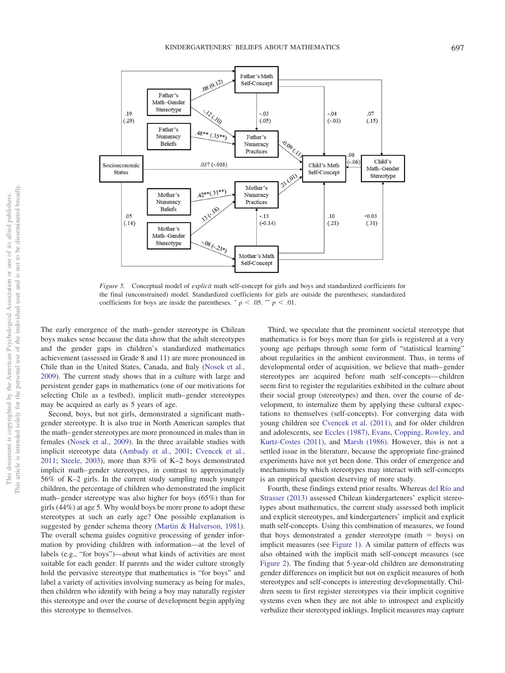

<span id="page-10-0"></span>*Figure 5.* Conceptual model of *explicit* math self-concept for girls and boys and standardized coefficients for the final (unconstrained) model. Standardized coefficients for girls are outside the parentheses; standardized coefficients for boys are inside the parentheses.  $p < .05$ .  $p < .01$ .

The early emergence of the math– gender stereotype in Chilean boys makes sense because the data show that the adult stereotypes and the gender gaps in children's standardized mathematics achievement (assessed in Grade 8 and 11) are more pronounced in Chile than in the United States, Canada, and Italy [\(Nosek et al.,](#page-14-16) [2009\)](#page-14-16). The current study shows that in a culture with large and persistent gender gaps in mathematics (one of our motivations for selecting Chile as a testbed), implicit math– gender stereotypes may be acquired as early as 5 years of age.

Second, boys, but not girls, demonstrated a significant math– gender stereotype. It is also true in North American samples that the math– gender stereotypes are more pronounced in males than in females [\(Nosek et al., 2009\)](#page-14-16). In the three available studies with implicit stereotype data [\(Ambady et al., 2001;](#page-12-2) [Cvencek et al.,](#page-13-5) [2011;](#page-13-5) [Steele, 2003\)](#page-15-7), more than 83% of K–2 boys demonstrated implicit math– gender stereotypes, in contrast to approximately 56% of K–2 girls. In the current study sampling much younger children, the percentage of children who demonstrated the implicit math– gender stereotype was also higher for boys (65%) than for girls (44%) at age 5. Why would boys be more prone to adopt these stereotypes at such an early age? One possible explanation is suggested by gender schema theory [\(Martin & Halverson, 1981\)](#page-14-13). The overall schema guides cognitive processing of gender information by providing children with information—at the level of labels (e.g., "for boys")—about what kinds of activities are most suitable for each gender. If parents and the wider culture strongly hold the pervasive stereotype that mathematics is "for boys" and label a variety of activities involving numeracy as being for males, then children who identify with being a boy may naturally register this stereotype and over the course of development begin applying this stereotype to themselves.

Third, we speculate that the prominent societal stereotype that mathematics is for boys more than for girls is registered at a very young age perhaps through some form of "statistical learning" about regularities in the ambient environment. Thus, in terms of developmental order of acquisition, we believe that math– gender stereotypes are acquired before math self-concepts— children seem first to register the regularities exhibited in the culture about their social group (stereotypes) and then, over the course of development, to internalize them by applying these cultural expectations to themselves (self-concepts). For converging data with young children see [Cvencek et al. \(2011\),](#page-13-5) and for older children and adolescents, see [Eccles \(1987\),](#page-13-28) [Evans, Copping, Rowley, and](#page-13-29) [Kurtz-Costes \(2011\),](#page-13-29) and [Marsh \(1986\).](#page-14-27) However, this is not a settled issue in the literature, because the appropriate fine-grained experiments have not yet been done. This order of emergence and mechanisms by which stereotypes may interact with self-concepts is an empirical question deserving of more study.

Fourth, these findings extend prior results. Whereas [del Río and](#page-13-10) [Strasser \(2013\)](#page-13-10) assessed Chilean kindergarteners' explicit stereotypes about mathematics, the current study assessed both implicit and explicit stereotypes, and kindergarteners' implicit and explicit math self-concepts. Using this combination of measures, we found that boys demonstrated a gender stereotype (math  $=$  boys) on implicit measures (see [Figure 1\)](#page-8-0). A similar pattern of effects was also obtained with the implicit math self-concept measures (see [Figure 2\)](#page-8-1). The finding that 5-year-old children are demonstrating gender differences on implicit but not on explicit measures of both stereotypes and self-concepts is interesting developmentally. Children seem to first register stereotypes via their implicit cognitive systems even when they are not able to introspect and explicitly verbalize their stereotyped inklings. Implicit measures may capture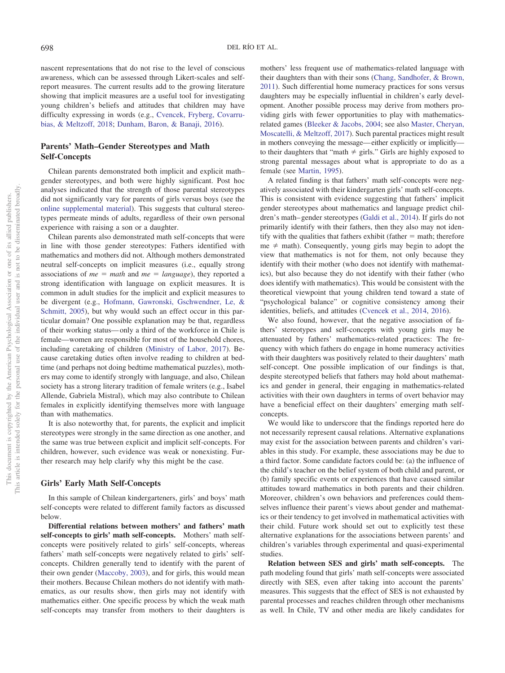nascent representations that do not rise to the level of conscious awareness, which can be assessed through Likert-scales and selfreport measures. The current results add to the growing literature showing that implicit measures are a useful tool for investigating young children's beliefs and attitudes that children may have difficulty expressing in words (e.g., [Cvencek, Fryberg, Covarru](#page-13-30)[bias, & Meltzoff, 2018;](#page-13-30) [Dunham, Baron, & Banaji, 2016\)](#page-13-31).

# **Parents' Math–Gender Stereotypes and Math Self-Concepts**

Chilean parents demonstrated both implicit and explicit math– gender stereotypes, and both were highly significant. Post hoc analyses indicated that the strength of those parental stereotypes did not significantly vary for parents of girls versus boys (see the [online supplemental material\)](http://dx.doi.org/10.1037/dev0000658.supp). This suggests that cultural stereotypes permeate minds of adults, regardless of their own personal experience with raising a son or a daughter.

Chilean parents also demonstrated math self-concepts that were in line with those gender stereotypes: Fathers identified with mathematics and mothers did not. Although mothers demonstrated neutral self-concepts on implicit measures (i.e., equally strong associations of  $me = math$  and  $me = language$ , they reported a strong identification with language on explicit measures. It is common in adult studies for the implicit and explicit measures to be divergent (e.g., [Hofmann, Gawronski, Gschwendner, Le, &](#page-13-32) [Schmitt, 2005\)](#page-13-32), but why would such an effect occur in this particular domain? One possible explanation may be that, regardless of their working status— only a third of the workforce in Chile is female—women are responsible for most of the household chores, including caretaking of children [\(Ministry of Labor, 2017\)](#page-14-28). Because caretaking duties often involve reading to children at bedtime (and perhaps not doing bedtime mathematical puzzles), mothers may come to identify strongly with language, and also, Chilean society has a strong literary tradition of female writers (e.g., Isabel Allende, Gabriela Mistral), which may also contribute to Chilean females in explicitly identifying themselves more with language than with mathematics.

It is also noteworthy that, for parents, the explicit and implicit stereotypes were strongly in the same direction as one another, and the same was true between explicit and implicit self-concepts. For children, however, such evidence was weak or nonexisting. Further research may help clarify why this might be the case.

#### **Girls' Early Math Self-Concepts**

In this sample of Chilean kindergarteners, girls' and boys' math self-concepts were related to different family factors as discussed below.

**Differential relations between mothers' and fathers' math self-concepts to girls' math self-concepts.** Mothers' math selfconcepts were positively related to girls' self-concepts, whereas fathers' math self-concepts were negatively related to girls' selfconcepts. Children generally tend to identify with the parent of their own gender [\(Maccoby, 2003\)](#page-14-29), and for girls, this would mean their mothers. Because Chilean mothers do not identify with mathematics, as our results show, then girls may not identify with mathematics either. One specific process by which the weak math self-concepts may transfer from mothers to their daughters is

mothers' less frequent use of mathematics-related language with their daughters than with their sons [\(Chang, Sandhofer, & Brown,](#page-13-33) [2011\)](#page-13-33). Such differential home numeracy practices for sons versus daughters may be especially influential in children's early development. Another possible process may derive from mothers providing girls with fewer opportunities to play with mathematicsrelated games [\(Bleeker & Jacobs, 2004;](#page-12-9) see also [Master, Cheryan,](#page-14-30) [Moscatelli, & Meltzoff, 2017\)](#page-14-30). Such parental practices might result in mothers conveying the message—either explicitly or implicitly to their daughters that "math  $\neq$  girls." Girls are highly exposed to strong parental messages about what is appropriate to do as a female (see [Martin, 1995\)](#page-14-31).

A related finding is that fathers' math self-concepts were negatively associated with their kindergarten girls' math self-concepts. This is consistent with evidence suggesting that fathers' implicit gender stereotypes about mathematics and language predict children's math– gender stereotypes [\(Galdi et al., 2014\)](#page-13-8). If girls do not primarily identify with their fathers, then they also may not identify with the qualities that fathers exhibit (father  $=$  math; therefore  $me \neq$  math). Consequently, young girls may begin to adopt the view that mathematics is not for them, not only because they identify with their mother (who does not identify with mathematics), but also because they do not identify with their father (who does identify with mathematics). This would be consistent with the theoretical viewpoint that young children tend toward a state of "psychological balance" or cognitive consistency among their identities, beliefs, and attitudes [\(Cvencek et al., 2014,](#page-13-13) [2016\)](#page-13-23).

We also found, however, that the negative association of fathers' stereotypes and self-concepts with young girls may be attenuated by fathers' mathematics-related practices: The frequency with which fathers do engage in home numeracy activities with their daughters was positively related to their daughters' math self-concept. One possible implication of our findings is that, despite stereotyped beliefs that fathers may hold about mathematics and gender in general, their engaging in mathematics-related activities with their own daughters in terms of overt behavior may have a beneficial effect on their daughters' emerging math selfconcepts.

We would like to underscore that the findings reported here do not necessarily represent causal relations. Alternative explanations may exist for the association between parents and children's variables in this study. For example, these associations may be due to a third factor. Some candidate factors could be: (a) the influence of the child's teacher on the belief system of both child and parent, or (b) family specific events or experiences that have caused similar attitudes toward mathematics in both parents and their children. Moreover, children's own behaviors and preferences could themselves influence their parent's views about gender and mathematics or their tendency to get involved in mathematical activities with their child. Future work should set out to explicitly test these alternative explanations for the associations between parents' and children's variables through experimental and quasi-experimental studies.

**Relation between SES and girls' math self-concepts.** The path modeling found that girls' math self-concepts were associated directly with SES, even after taking into account the parents' measures. This suggests that the effect of SES is not exhausted by parental processes and reaches children through other mechanisms as well. In Chile, TV and other media are likely candidates for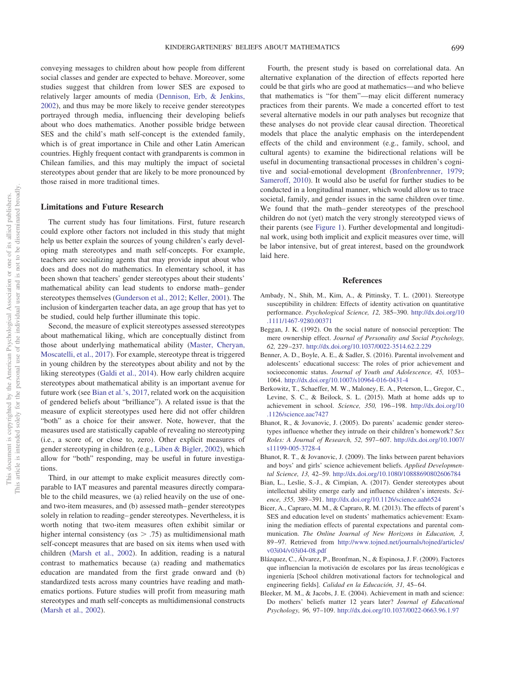conveying messages to children about how people from different social classes and gender are expected to behave. Moreover, some studies suggest that children from lower SES are exposed to relatively larger amounts of media [\(Dennison, Erb, & Jenkins,](#page-13-34) [2002\)](#page-13-34), and thus may be more likely to receive gender stereotypes portrayed through media, influencing their developing beliefs about who does mathematics. Another possible bridge between SES and the child's math self-concept is the extended family, which is of great importance in Chile and other Latin American countries. Highly frequent contact with grandparents is common in Chilean families, and this may multiply the impact of societal stereotypes about gender that are likely to be more pronounced by those raised in more traditional times.

# **Limitations and Future Research**

The current study has four limitations. First, future research could explore other factors not included in this study that might help us better explain the sources of young children's early developing math stereotypes and math self-concepts. For example, teachers are socializing agents that may provide input about who does and does not do mathematics. In elementary school, it has been shown that teachers' gender stereotypes about their students' mathematical ability can lead students to endorse math– gender stereotypes themselves [\(Gunderson et al., 2012;](#page-13-2) [Keller, 2001\)](#page-14-32). The inclusion of kindergarten teacher data, an age group that has yet to be studied, could help further illuminate this topic.

Second, the measure of explicit stereotypes assessed stereotypes about mathematical liking, which are conceptually distinct from those about underlying mathematical ability [\(Master, Cheryan,](#page-14-30) [Moscatelli, et al., 2017\)](#page-14-30). For example, stereotype threat is triggered in young children by the stereotypes about ability and not by the liking stereotypes [\(Galdi et al., 2014\)](#page-13-8). How early children acquire stereotypes about mathematical ability is an important avenue for future work (see [Bian et al.'s, 2017,](#page-12-1) related work on the acquisition of gendered beliefs about "brilliance"). A related issue is that the measure of explicit stereotypes used here did not offer children "both" as a choice for their answer. Note, however, that the measures used are statistically capable of revealing no stereotyping (i.e., a score of, or close to, zero). Other explicit measures of gender stereotyping in children (e.g., [Liben & Bigler, 2002\)](#page-14-33), which allow for "both" responding, may be useful in future investigations.

Third, in our attempt to make explicit measures directly comparable to IAT measures and parental measures directly comparable to the child measures, we (a) relied heavily on the use of oneand two-item measures, and (b) assessed math– gender stereotypes solely in relation to reading– gender stereotypes. Nevertheless, it is worth noting that two-item measures often exhibit similar or higher internal consistency ( $\alpha$ s > .75) as multidimensional math self-concept measures that are based on six items when used with children [\(Marsh et al., 2002\)](#page-14-5). In addition, reading is a natural contrast to mathematics because (a) reading and mathematics education are mandated from the first grade onward and (b) standardized tests across many countries have reading and mathematics portions. Future studies will profit from measuring math stereotypes and math self-concepts as multidimensional constructs [\(Marsh et al., 2002\)](#page-14-5).

Fourth, the present study is based on correlational data. An alternative explanation of the direction of effects reported here could be that girls who are good at mathematics—and who believe that mathematics is "for them"—may elicit different numeracy practices from their parents. We made a concerted effort to test several alternative models in our path analyses but recognize that these analyses do not provide clear causal direction. Theoretical models that place the analytic emphasis on the interdependent effects of the child and environment (e.g., family, school, and cultural agents) to examine the bidirectional relations will be useful in documenting transactional processes in children's cognitive and social-emotional development [\(Bronfenbrenner, 1979;](#page-13-35) [Sameroff, 2010\)](#page-15-26). It would also be useful for further studies to be conducted in a longitudinal manner, which would allow us to trace societal, family, and gender issues in the same children over time. We found that the math– gender stereotypes of the preschool children do not (yet) match the very strongly stereotyped views of their parents (see [Figure 1\)](#page-8-0). Further developmental and longitudinal work, using both implicit and explicit measures over time, will be labor intensive, but of great interest, based on the groundwork laid here.

# **References**

- <span id="page-12-2"></span>Ambady, N., Shih, M., Kim, A., & Pittinsky, T. L. (2001). Stereotype susceptibility in children: Effects of identity activation on quantitative performance. *Psychological Science, 12,* 385–390. [http://dx.doi.org/10](http://dx.doi.org/10.1111/1467-9280.00371) [.1111/1467-9280.00371](http://dx.doi.org/10.1111/1467-9280.00371)
- <span id="page-12-8"></span>Beggan, J. K. (1992). On the social nature of nonsocial perception: The mere ownership effect. *Journal of Personality and Social Psychology, 62,* 229 –237. <http://dx.doi.org/10.1037/0022-3514.62.2.229>
- <span id="page-12-6"></span>Benner, A. D., Boyle, A. E., & Sadler, S. (2016). Parental involvement and adolescents' educational success: The roles of prior achievement and socioeconomic status. *Journal of Youth and Adolescence, 45,* 1053– 1064. <http://dx.doi.org/10.1007/s10964-016-0431-4>
- <span id="page-12-3"></span>Berkowitz, T., Schaeffer, M. W., Maloney, E. A., Peterson, L., Gregor, C., Levine, S. C., & Beilock, S. L. (2015). Math at home adds up to achievement in school. *Science, 350,* 196 –198. [http://dx.doi.org/10](http://dx.doi.org/10.1126/science.aac7427) [.1126/science.aac7427](http://dx.doi.org/10.1126/science.aac7427)
- <span id="page-12-4"></span>Bhanot, R., & Jovanovic, J. (2005). Do parents' academic gender stereotypes influence whether they intrude on their children's homework? *Sex Roles: A Journal of Research, 52,* 597– 607. [http://dx.doi.org/10.1007/](http://dx.doi.org/10.1007/s11199-005-3728-4) [s11199-005-3728-4](http://dx.doi.org/10.1007/s11199-005-3728-4)
- <span id="page-12-5"></span>Bhanot, R. T., & Jovanovic, J. (2009). The links between parent behaviors and boys' and girls' science achievement beliefs. *Applied Developmental Science, 13,* 42–59. <http://dx.doi.org/10.1080/10888690802606784>
- <span id="page-12-1"></span>Bian, L., Leslie, S.-J., & Cimpian, A. (2017). Gender stereotypes about intellectual ability emerge early and influence children's interests. *Science, 355,* 389 –391. <http://dx.doi.org/10.1126/science.aah6524>
- <span id="page-12-7"></span>Bicer, A., Capraro, M. M., & Capraro, R. M. (2013). The effects of parent's SES and education level on students' mathematics achievement: Examining the mediation effects of parental expectations and parental communication. *The Online Journal of New Horizons in Education, 3,* 89 –97. Retrieved from [http://www.tojned.net/journals/tojned/articles/](http://www.tojned.net/journals/tojned/articles/v03i04/v03i04-08.pdf) [v03i04/v03i04-08.pdf](http://www.tojned.net/journals/tojned/articles/v03i04/v03i04-08.pdf)
- <span id="page-12-0"></span>Blázquez, C., Álvarez, P., Bronfman, N., & Espinosa, J. F. (2009). Factores que influencian la motivación de escolares por las áreas tecnológicas e ingeniería [School children motivational factors for technological and engineering fields]. *Calidad en la Educación*, 31, 45-64.
- <span id="page-12-9"></span>Bleeker, M. M., & Jacobs, J. E. (2004). Achievement in math and science: Do mothers' beliefs matter 12 years later? *Journal of Educational Psychology, 96,* 97–109. <http://dx.doi.org/10.1037/0022-0663.96.1.97>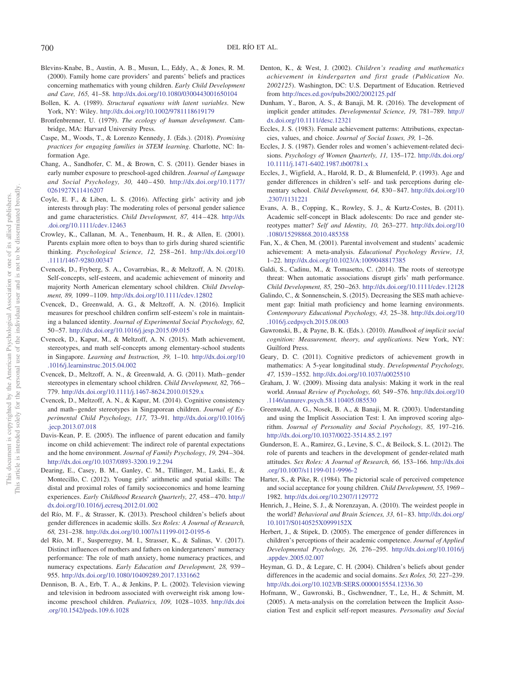- <span id="page-13-15"></span>Blevins-Knabe, B., Austin, A. B., Musun, L., Eddy, A., & Jones, R. M. (2000). Family home care providers' and parents' beliefs and practices concerning mathematics with young children. *Early Child Development and Care, 165,* 41–58. <http://dx.doi.org/10.1080/0300443001650104>
- <span id="page-13-27"></span>Bollen, K. A. (1989). *Structural equations with latent variables*. New York, NY: Wiley. <http://dx.doi.org/10.1002/9781118619179>
- <span id="page-13-35"></span>Bronfenbrenner, U. (1979). *The ecology of human development*. Cambridge, MA: Harvard University Press.
- <span id="page-13-17"></span>Caspe, M., Woods, T., & Lorenzo Kennedy, J. (Eds.). (2018). *Promising practices for engaging families in STEM learning*. Charlotte, NC: Information Age.
- <span id="page-13-33"></span>Chang, A., Sandhofer, C. M., & Brown, C. S. (2011). Gender biases in early number exposure to preschool-aged children. *Journal of Language and Social Psychology, 30,* 440 – 450. [http://dx.doi.org/10.1177/](http://dx.doi.org/10.1177/0261927X11416207) [0261927X11416207](http://dx.doi.org/10.1177/0261927X11416207)
- <span id="page-13-7"></span>Coyle, E. F., & Liben, L. S. (2016). Affecting girls' activity and job interests through play: The moderating roles of personal gender salience and game characteristics. *Child Development, 87,* 414 – 428. [http://dx](http://dx.doi.org/10.1111/cdev.12463) [.doi.org/10.1111/cdev.12463](http://dx.doi.org/10.1111/cdev.12463)
- <span id="page-13-18"></span>Crowley, K., Callanan, M. A., Tenenbaum, H. R., & Allen, E. (2001). Parents explain more often to boys than to girls during shared scientific thinking. *Psychological Science, 12,* 258 –261. [http://dx.doi.org/10](http://dx.doi.org/10.1111/1467-9280.00347) [.1111/1467-9280.00347](http://dx.doi.org/10.1111/1467-9280.00347)
- <span id="page-13-30"></span>Cvencek, D., Fryberg, S. A., Covarrubias, R., & Meltzoff, A. N. (2018). Self-concepts, self-esteem, and academic achievement of minority and majority North American elementary school children. *Child Development, 89,* 1099 –1109. <http://dx.doi.org/10.1111/cdev.12802>
- <span id="page-13-23"></span>Cvencek, D., Greenwald, A. G., & Meltzoff, A. N. (2016). Implicit measures for preschool children confirm self-esteem's role in maintaining a balanced identity. *Journal of Experimental Social Psychology, 62,* 50 –57. <http://dx.doi.org/10.1016/j.jesp.2015.09.015>
- <span id="page-13-4"></span>Cvencek, D., Kapur, M., & Meltzoff, A. N. (2015). Math achievement, stereotypes, and math self-concepts among elementary-school students in Singapore. *Learning and Instruction, 39,* 1–10. [http://dx.doi.org/10](http://dx.doi.org/10.1016/j.learninstruc.2015.04.002) [.1016/j.learninstruc.2015.04.002](http://dx.doi.org/10.1016/j.learninstruc.2015.04.002)
- <span id="page-13-5"></span>Cvencek, D., Meltzoff, A. N., & Greenwald, A. G. (2011). Math– gender stereotypes in elementary school children. *Child Development, 82,* 766 – 779. <http://dx.doi.org/10.1111/j.1467-8624.2010.01529.x>
- <span id="page-13-13"></span>Cvencek, D., Meltzoff, A. N., & Kapur, M. (2014). Cognitive consistency and math– gender stereotypes in Singaporean children. *Journal of Experimental Child Psychology, 117,* 73–91. [http://dx.doi.org/10.1016/j](http://dx.doi.org/10.1016/j.jecp.2013.07.018) [.jecp.2013.07.018](http://dx.doi.org/10.1016/j.jecp.2013.07.018)
- <span id="page-13-22"></span>Davis-Kean, P. E. (2005). The influence of parent education and family income on child achievement: The indirect role of parental expectations and the home environment. *Journal of Family Psychology, 19,* 294 –304. <http://dx.doi.org/10.1037/0893-3200.19.2.294>
- <span id="page-13-19"></span>Dearing, E., Casey, B. M., Ganley, C. M., Tillinger, M., Laski, E., & Montecillo, C. (2012). Young girls' arithmetic and spatial skills: The distal and proximal roles of family socioeconomics and home learning experiences. *Early Childhood Research Quarterly, 27,* 458 – 470. [http://](http://dx.doi.org/10.1016/j.ecresq.2012.01.002) [dx.doi.org/10.1016/j.ecresq.2012.01.002](http://dx.doi.org/10.1016/j.ecresq.2012.01.002)
- <span id="page-13-10"></span>del Río, M. F., & Strasser, K. (2013). Preschool children's beliefs about gender differences in academic skills. *Sex Roles: A Journal of Research, 68,* 231–238. <http://dx.doi.org/10.1007/s11199-012-0195-6>
- <span id="page-13-16"></span>del Río, M. F., Susperreguy, M. I., Strasser, K., & Salinas, V. (2017). Distinct influences of mothers and fathers on kindergarteners' numeracy performance: The role of math anxiety, home numeracy practices, and numeracy expectations. *Early Education and Development, 28,* 939 – 955. <http://dx.doi.org/10.1080/10409289.2017.1331662>
- <span id="page-13-34"></span>Dennison, B. A., Erb, T. A., & Jenkins, P. L. (2002). Television viewing and television in bedroom associated with overweight risk among lowincome preschool children. *Pediatrics, 109,* 1028 –1035. [http://dx.doi](http://dx.doi.org/10.1542/peds.109.6.1028) [.org/10.1542/peds.109.6.1028](http://dx.doi.org/10.1542/peds.109.6.1028)
- <span id="page-13-0"></span>Denton, K., & West, J. (2002). *Children's reading and mathematics achievement in kindergarten and first grade (Publication No. 2002125*). Washington, DC: U.S. Department of Education. Retrieved from <http://nces.ed.gov/pubs2002/2002125.pdf>
- <span id="page-13-31"></span>Dunham, Y., Baron, A. S., & Banaji, M. R. (2016). The development of implicit gender attitudes. *Developmental Science, 19,* 781–789. [http://](http://dx.doi.org/10.1111/desc.12321) [dx.doi.org/10.1111/desc.12321](http://dx.doi.org/10.1111/desc.12321)
- <span id="page-13-14"></span>Eccles, J. S. (1983). Female achievement patterns: Attributions, expectancies, values, and choice. *Journal of Social Issues, 39,* 1–26.
- <span id="page-13-28"></span>Eccles, J. S. (1987). Gender roles and women's achievement-related decisions. *Psychology of Women Quarterly, 11,* 135–172. [http://dx.doi.org/](http://dx.doi.org/10.1111/j.1471-6402.1987.tb00781.x) [10.1111/j.1471-6402.1987.tb00781.x](http://dx.doi.org/10.1111/j.1471-6402.1987.tb00781.x)
- <span id="page-13-11"></span>Eccles, J., Wigfield, A., Harold, R. D., & Blumenfeld, P. (1993). Age and gender differences in children's self- and task perceptions during elementary school. *Child Development, 64,* 830 – 847. [http://dx.doi.org/10](http://dx.doi.org/10.2307/1131221) [.2307/1131221](http://dx.doi.org/10.2307/1131221)
- <span id="page-13-29"></span>Evans, A. B., Copping, K., Rowley, S. J., & Kurtz-Costes, B. (2011). Academic self-concept in Black adolescents: Do race and gender stereotypes matter? *Self and Identity, 10,* 263–277. [http://dx.doi.org/10](http://dx.doi.org/10.1080/15298868.2010.485358) [.1080/15298868.2010.485358](http://dx.doi.org/10.1080/15298868.2010.485358)
- <span id="page-13-21"></span>Fan, X., & Chen, M. (2001). Parental involvement and students' academic achievement: A meta-analysis. *Educational Psychology Review, 13,* 1–22. <http://dx.doi.org/10.1023/A:1009048817385>
- <span id="page-13-8"></span>Galdi, S., Cadinu, M., & Tomasetto, C. (2014). The roots of stereotype threat: When automatic associations disrupt girls' math performance. *Child Development, 85,* 250 –263. <http://dx.doi.org/10.1111/cdev.12128>
- <span id="page-13-20"></span>Galindo, C., & Sonnenschein, S. (2015). Decreasing the SES math achievement gap: Initial math proficiency and home learning environments. *Contemporary Educational Psychology, 43,* 25–38. [http://dx.doi.org/10](http://dx.doi.org/10.1016/j.cedpsych.2015.08.003) [.1016/j.cedpsych.2015.08.003](http://dx.doi.org/10.1016/j.cedpsych.2015.08.003)
- <span id="page-13-12"></span>Gawronski, B., & Payne, B. K. (Eds.). (2010). *Handbook of implicit social cognition: Measurement, theory, and applications*. New York, NY: Guilford Press.
- <span id="page-13-1"></span>Geary, D. C. (2011). Cognitive predictors of achievement growth in mathematics: A 5-year longitudinal study. *Developmental Psychology, 47,* 1539 –1552. <http://dx.doi.org/10.1037/a0025510>
- <span id="page-13-26"></span>Graham, J. W. (2009). Missing data analysis: Making it work in the real world. *Annual Review of Psychology, 60,* 549 –576. [http://dx.doi.org/10](http://dx.doi.org/10.1146/annurev.psych.58.110405.085530) [.1146/annurev.psych.58.110405.085530](http://dx.doi.org/10.1146/annurev.psych.58.110405.085530)
- <span id="page-13-24"></span>Greenwald, A. G., Nosek, B. A., & Banaji, M. R. (2003). Understanding and using the Implicit Association Test: I. An improved scoring algorithm. *Journal of Personality and Social Psychology, 85,* 197–216. <http://dx.doi.org/10.1037/0022-3514.85.2.197>
- <span id="page-13-2"></span>Gunderson, E. A., Ramirez, G., Levine, S. C., & Beilock, S. L. (2012). The role of parents and teachers in the development of gender-related math attitudes. *Sex Roles: A Journal of Research, 66,* 153–166. [http://dx.doi](http://dx.doi.org/10.1007/s11199-011-9996-2) [.org/10.1007/s11199-011-9996-2](http://dx.doi.org/10.1007/s11199-011-9996-2)
- <span id="page-13-25"></span>Harter, S., & Pike, R. (1984). The pictorial scale of perceived competence and social acceptance for young children. *Child Development, 55,* 1969 – 1982. <http://dx.doi.org/10.2307/1129772>
- <span id="page-13-3"></span>Henrich, J., Heine, S. J., & Norenzayan, A. (2010). The weirdest people in the world? *Behavioral and Brain Sciences, 33,* 61– 83. [http://dx.doi.org/](http://dx.doi.org/10.1017/S0140525X0999152X) [10.1017/S0140525X0999152X](http://dx.doi.org/10.1017/S0140525X0999152X)
- <span id="page-13-6"></span>Herbert, J., & Stipek, D. (2005). The emergence of gender differences in children's perceptions of their academic competence. *Journal of Applied Developmental Psychology, 26,* 276 –295. [http://dx.doi.org/10.1016/j](http://dx.doi.org/10.1016/j.appdev.2005.02.007) [.appdev.2005.02.007](http://dx.doi.org/10.1016/j.appdev.2005.02.007)
- <span id="page-13-9"></span>Heyman, G. D., & Legare, C. H. (2004). Children's beliefs about gender differences in the academic and social domains. *Sex Roles, 50,* 227–239. <http://dx.doi.org/10.1023/B:SERS.0000015554.12336.30>
- <span id="page-13-32"></span>Hofmann, W., Gawronski, B., Gschwendner, T., Le, H., & Schmitt, M. (2005). A meta-analysis on the correlation between the Implicit Association Test and explicit self-report measures. *Personality and Social*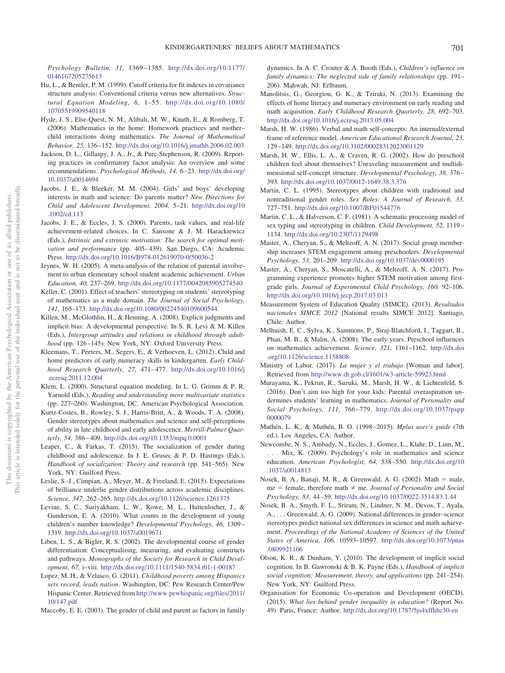*Psychology Bulletin, 31,* 1369 –1385. [http://dx.doi.org/10.1177/](http://dx.doi.org/10.1177/0146167205275613) [0146167205275613](http://dx.doi.org/10.1177/0146167205275613)

- <span id="page-14-24"></span>Hu, L., & Bentler, P. M. (1999). Cutoff criteria for fit indexes in covariance structure analysis: Conventional criteria versus new alternatives. *Structural Equation Modeling, 6,* 1–55. [http://dx.doi.org/10.1080/](http://dx.doi.org/10.1080/10705519909540118) [10705519909540118](http://dx.doi.org/10.1080/10705519909540118)
- <span id="page-14-14"></span>Hyde, J. S., Else-Quest, N. M., Alibali, M. W., Knuth, E., & Romberg, T. (2006). Mathematics in the home: Homework practices and mother– child interactions doing mathematics. *The Journal of Mathematical Behavior, 25,* 136 –152. <http://dx.doi.org/10.1016/j.jmathb.2006.02.003>
- <span id="page-14-25"></span>Jackson, D. L., Gillaspy, J. A., Jr., & Purc-Stephenson, R. (2009). Reporting practices in confirmatory factor analysis: An overview and some recommendations. *Psychological Methods, 14,* 6 –23. [http://dx.doi.org/](http://dx.doi.org/10.1037/a0014694) [10.1037/a0014694](http://dx.doi.org/10.1037/a0014694)
- <span id="page-14-17"></span>Jacobs, J. E., & Bleeker, M. M. (2004). Girls' and boys' developing interests in math and science: Do parents matter? *New Directions for Child and Adolescent Development, 2004,* 5–21. [http://dx.doi.org/10](http://dx.doi.org/10.1002/cd.113) [.1002/cd.113](http://dx.doi.org/10.1002/cd.113)
- <span id="page-14-21"></span>Jacobs, J. E., & Eccles, J. S. (2000). Parents, task values, and real-life achievement-related choices. In C. Sansone & J. M. Harackiewicz (Eds.), *Intrinsic and extrinsic motivation: The search for optimal moti*vation and performance (pp. 405-439). San Diego, CA: Academic Press. <http://dx.doi.org/10.1016/B978-012619070-0/50036-2>
- <span id="page-14-19"></span>Jeynes, W. H. (2005). A meta-analysis of the relation of parental involvement to urban elementary school student academic achievement. *Urban Education, 40,* 237–269. <http://dx.doi.org/10.1177/0042085905274540>
- <span id="page-14-32"></span>Keller, C. (2001). Effect of teachers' stereotyping on students' stereotyping of mathematics as a male domain. *The Journal of Social Psychology, 141,* 165–173. <http://dx.doi.org/10.1080/00224540109600544>
- <span id="page-14-7"></span>Killen, M., McGlothlin, H., & Henning, A. (2008). Explicit judgments and implicit bias: A developmental perspective. In S. R. Levi & M. Killen (Eds.), *Intergroup attitudes and relations in childhood through adulthood* (pp. 126 –145). New York, NY: Oxford University Press.
- <span id="page-14-9"></span>Kleemans, T., Peeters, M., Segers, E., & Verhoeven, L. (2012). Child and home predictors of early numeracy skills in kindergarten. *Early Childhood Research Quarterly, 27,* 471– 477. [http://dx.doi.org/10.1016/j](http://dx.doi.org/10.1016/j.ecresq.2011.12.004) [.ecresq.2011.12.004](http://dx.doi.org/10.1016/j.ecresq.2011.12.004)
- <span id="page-14-26"></span>Klem, L. (2000). Structural equation modeling. In L. G. Grimm & P. R. Yarnold (Eds.), *Reading and understanding more multivariate statistics* (pp. 227–260). Washington, DC: American Psychological Association.
- <span id="page-14-4"></span>Kurtz-Costes, B., Rowley, S. J., Harris-Britt, A., & Woods, T. A. (2008). Gender stereotypes about mathematics and science and self-perceptions of ability in late childhood and early adolescence. *Merrill-Palmer Quarterly, 54,* 386 – 409. <http://dx.doi.org/10.1353/mpq.0.0001>
- <span id="page-14-12"></span>Leaper, C., & Farkas, T. (2015). The socialization of gender during childhood and adolescence. In J. E. Grusec & P. D. Hastings (Eds.), *Handbook of socialization: Theory and research* (pp. 541–565). New York, NY: Guilford Press.
- <span id="page-14-15"></span>Leslie, S.-J., Cimpian, A., Meyer, M., & Freeland, E. (2015). Expectations of brilliance underlie gender distributions across academic disciplines. *Science, 347,* 262–265. <http://dx.doi.org/10.1126/science.1261375>
- <span id="page-14-10"></span>Levine, S. C., Suriyakham, L. W., Rowe, M. L., Huttenlocher, J., & Gunderson, E. A. (2010). What counts in the development of young children's number knowledge? *Developmental Psychology, 46,* 1309 – 1319. <http://dx.doi.org/10.1037/a0019671>
- <span id="page-14-33"></span>Liben, L. S., & Bigler, R. S. (2002). The developmental course of gender differentiation: Conceptualizing, measuring, and evaluating constructs and pathways. *Monographs of the Society for Research in Child Development, 67,* i–viii. <http://dx.doi.org/10.1111/1540-5834.t01-1-00187>
- <span id="page-14-3"></span>Lopez, M. H., & Velasco, G. (2011). *Childhood poverty among Hispanics sets record, leads nation*. Washington, DC: Pew Research Center/Pew Hispanic Center. Retrieved from [http://www.pewhispanic.org/files/2011/](http://www.pewhispanic.org/files/2011/10/147.pdf) [10/147.pdf](http://www.pewhispanic.org/files/2011/10/147.pdf)
- <span id="page-14-29"></span>Maccoby, E. E. (2003). The gender of child and parent as factors in family

dynamics. In A. C. Crouter & A. Booth (Eds.), *Children's influence on family dynamics: The neglected side of family relationships* (pp. 191– 206). Mahwah, NJ: Erlbaum.

- <span id="page-14-11"></span>Manolitsis, G., Georgiou, G. K., & Tziraki, N. (2013). Examining the effects of home literacy and numeracy environment on early reading and math acquisition. *Early Childhood Research Quarterly, 28,* 692–703. <http://dx.doi.org/10.1016/j.ecresq.2013.05.004>
- <span id="page-14-27"></span>Marsh, H. W. (1986). Verbal and math self-concepts: An internal/external frame of reference model. *American Educational Research Journal, 23,* 129 –149. <http://dx.doi.org/10.3102/00028312023001129>
- <span id="page-14-5"></span>Marsh, H. W., Ellis, L. A., & Craven, R. G. (2002). How do preschool children feel about themselves? Unraveling measurement and multidimensional self-concept structure. *Developmental Psychology, 38,* 376 – 393. <http://dx.doi.org/10.1037/0012-1649.38.3.376>
- <span id="page-14-31"></span>Martin, C. L. (1995). Stereotypes about children with traditional and nontraditional gender roles. *Sex Roles: A Journal of Research, 33,* 727–751. <http://dx.doi.org/10.1007/BF01544776>
- <span id="page-14-13"></span>Martin, C. L., & Halverson, C. F. (1981). A schematic processing model of sex typing and stereotyping in children. *Child Development, 52,* 1119 – 1134. <http://dx.doi.org/10.2307/1129498>
- <span id="page-14-6"></span>Master, A., Cheryan, S., & Meltzoff, A. N. (2017). Social group membership increases STEM engagement among preschoolers. *Developmental Psychology, 53,* 201–209. <http://dx.doi.org/10.1037/dev0000195>
- <span id="page-14-30"></span>Master, A., Cheryan, S., Moscatelli, A., & Meltzoff, A. N. (2017). Programming experience promotes higher STEM motivation among firstgrade girls. *Journal of Experimental Child Psychology, 160,* 92–106. <http://dx.doi.org/10.1016/j.jecp.2017.03.013>
- <span id="page-14-2"></span>Measurement System of Education Quality (SIMCE). (2013). *Resultados nacionales SIMCE 2012* [National results SIMCE 2012]. Santiago, Chile: Author.
- <span id="page-14-18"></span>Melhuish, E. C., Sylva, K., Sammons, P., Siraj-Blatchford, I., Taggart, B., Phan, M. B., & Malin, A. (2008). The early years. Preschool influences on mathematics achievement. *Science, 321,* 1161–1162. [http://dx.doi](http://dx.doi.org/10.1126/science.1158808) [.org/10.1126/science.1158808](http://dx.doi.org/10.1126/science.1158808)
- <span id="page-14-28"></span>Ministry of Labor. (2017). *La mujer y el trabajo* [Woman and labor]. Retrieved from <http://www.dt.gob.cl/1601/w3-article-59923.html>
- <span id="page-14-20"></span>Murayama, K., Pekrun, R., Suzuki, M., Marsh, H. W., & Lichtenfeld, S. (2016). Don't aim too high for your kids: Parental overaspiration undermines students' learning in mathematics. *Journal of Personality and Social Psychology, 111,* 766 –779. [http://dx.doi.org/10.1037/pspp](http://dx.doi.org/10.1037/pspp0000079) [0000079](http://dx.doi.org/10.1037/pspp0000079)
- <span id="page-14-23"></span>Muthén, L. K., & Muthén, B. O. (1998 –2015). *Mplus user's guide* (7th ed.). Los Angeles, CA: Author.
- <span id="page-14-0"></span>Newcombe, N. S., Ambady, N., Eccles, J., Gomez, L., Klahr, D., Linn, M., . . . Mix, K. (2009). Psychology's role in mathematics and science education. *American Psychologist, 64,* 538 –550. [http://dx.doi.org/10](http://dx.doi.org/10.1037/a0014813) [.1037/a0014813](http://dx.doi.org/10.1037/a0014813)
- <span id="page-14-22"></span>Nosek, B. A., Banaji, M. R., & Greenwald, A. G.  $(2002)$ . Math = male,  $me =$  female, therefore math  $\neq$  me. *Journal of Personality and Social Psychology, 83,* 44 –59. <http://dx.doi.org/10.1037/0022-3514.83.1.44>
- <span id="page-14-16"></span>Nosek, B. A., Smyth, F. L., Sriram, N., Lindner, N. M., Devos, T., Ayala, A., . . . Greenwald, A. G. (2009). National differences in gender–science stereotypes predict national sex differences in science and math achievement. *Proceedings of the National Academy of Sciences of the United States of America, 106,* 10593–10597. [http://dx.doi.org/10.1073/pnas](http://dx.doi.org/10.1073/pnas.0809921106) [.0809921106](http://dx.doi.org/10.1073/pnas.0809921106)
- <span id="page-14-8"></span>Olson, K. R., & Dunham, Y. (2010). The development of implicit social cognition. In B. Gawronski & B. K. Payne (Eds.), *Handbook of implicit social cognition: Measurement, theory, and applications* (pp. 241–254). New York, NY: Guilford Press.
- <span id="page-14-1"></span>Organisation for Economic Co-operation and Development (OECD). (2015). *What lies behind gender inequality in education?* (Report No. 49). Paris, France: Author. <http://dx.doi.org/10.1787/5js4xffhhc30-en>